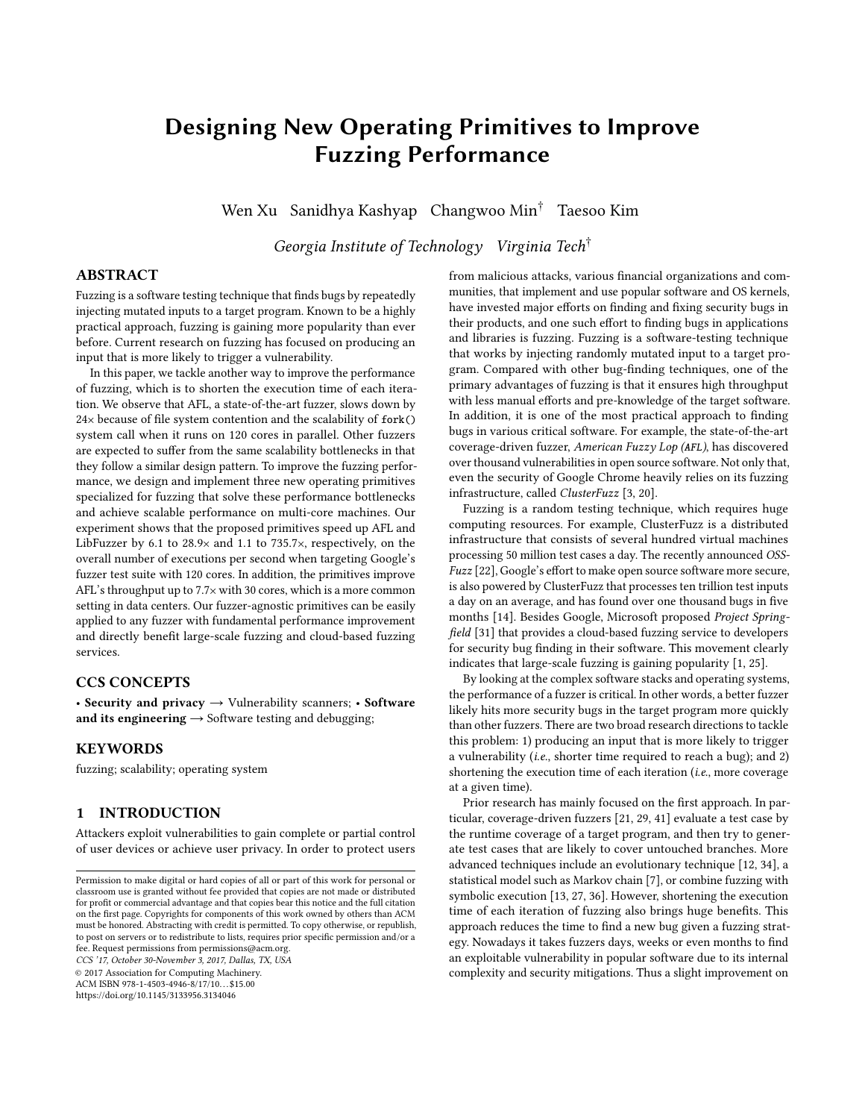# Designing New Operating Primitives to Improve Fuzzing Performance

Wen Xu Sanidhya Kashyap Changwoo Min† Taesoo Kim

Georgia Institute of Technology Virginia Tech<sup>†</sup>

# ABSTRACT

Fuzzing is a software testing technique that finds bugs by repeatedly injecting mutated inputs to a target program. Known to be a highly practical approach, fuzzing is gaining more popularity than ever before. Current research on fuzzing has focused on producing an input that is more likely to trigger a vulnerability.

In this paper, we tackle another way to improve the performance of fuzzing, which is to shorten the execution time of each iteration. We observe that AFL, a state-of-the-art fuzzer, slows down by 24<sup>×</sup> because of file system contention and the scalability of fork() system call when it runs on 120 cores in parallel. Other fuzzers are expected to suffer from the same scalability bottlenecks in that they follow a similar design pattern. To improve the fuzzing performance, we design and implement three new operating primitives specialized for fuzzing that solve these performance bottlenecks and achieve scalable performance on multi-core machines. Our experiment shows that the proposed primitives speed up AFL and LibFuzzer by 6.1 to 28.9<sup>×</sup> and 1.1 to 735.7×, respectively, on the overall number of executions per second when targeting Google's fuzzer test suite with 120 cores. In addition, the primitives improve AFL's throughput up to 7.7× with 30 cores, which is a more common setting in data centers. Our fuzzer-agnostic primitives can be easily applied to any fuzzer with fundamental performance improvement and directly benefit large-scale fuzzing and cloud-based fuzzing services.

# CCS CONCEPTS

• Security and privacy → Vulnerability scanners; • Software and its engineering  $\rightarrow$  Software testing and debugging;

## KEYWORDS

fuzzing; scalability; operating system

### 1 INTRODUCTION

Attackers exploit vulnerabilities to gain complete or partial control of user devices or achieve user privacy. In order to protect users

CCS '17, October 30-November 3, 2017, Dallas, TX, USA

© 2017 Association for Computing Machinery.

ACM ISBN 978-1-4503-4946-8/17/10. . . \$15.00

<https://doi.org/10.1145/3133956.3134046>

from malicious attacks, various financial organizations and communities, that implement and use popular software and OS kernels, have invested major efforts on finding and fixing security bugs in their products, and one such effort to finding bugs in applications and libraries is fuzzing. Fuzzing is a software-testing technique that works by injecting randomly mutated input to a target program. Compared with other bug-finding techniques, one of the primary advantages of fuzzing is that it ensures high throughput with less manual efforts and pre-knowledge of the target software. In addition, it is one of the most practical approach to finding bugs in various critical software. For example, the state-of-the-art coverage-driven fuzzer, American Fuzzy Lop (AFL), has discovered over thousand vulnerabilities in open source software. Not only that, even the security of Google Chrome heavily relies on its fuzzing infrastructure, called ClusterFuzz [\[3,](#page-14-0) [20\]](#page-14-1).

Fuzzing is a random testing technique, which requires huge computing resources. For example, ClusterFuzz is a distributed infrastructure that consists of several hundred virtual machines processing 50 million test cases a day. The recently announced OSS-Fuzz [\[22\]](#page-14-2), Google's effort to make open source software more secure, is also powered by ClusterFuzz that processes ten trillion test inputs a day on an average, and has found over one thousand bugs in five months [\[14\]](#page-14-3). Besides Google, Microsoft proposed Project Springfield [\[31\]](#page-14-4) that provides a cloud-based fuzzing service to developers for security bug finding in their software. This movement clearly indicates that large-scale fuzzing is gaining popularity [\[1,](#page-14-5) [25\]](#page-14-6).

By looking at the complex software stacks and operating systems, the performance of a fuzzer is critical. In other words, a better fuzzer likely hits more security bugs in the target program more quickly than other fuzzers. There are two broad research directions to tackle this problem: 1) producing an input that is more likely to trigger a vulnerability (i.e., shorter time required to reach a bug); and 2) shortening the execution time of each iteration (i.e., more coverage at a given time).

Prior research has mainly focused on the first approach. In particular, coverage-driven fuzzers [\[21,](#page-14-7) [29,](#page-14-8) [41\]](#page-15-0) evaluate a test case by the runtime coverage of a target program, and then try to generate test cases that are likely to cover untouched branches. More advanced techniques include an evolutionary technique [\[12,](#page-14-9) [34\]](#page-15-1), a statistical model such as Markov chain [\[7\]](#page-14-10), or combine fuzzing with symbolic execution [\[13,](#page-14-11) [27,](#page-14-12) [36\]](#page-15-2). However, shortening the execution time of each iteration of fuzzing also brings huge benefits. This approach reduces the time to find a new bug given a fuzzing strategy. Nowadays it takes fuzzers days, weeks or even months to find an exploitable vulnerability in popular software due to its internal complexity and security mitigations. Thus a slight improvement on

Permission to make digital or hard copies of all or part of this work for personal or classroom use is granted without fee provided that copies are not made or distributed for profit or commercial advantage and that copies bear this notice and the full citation on the first page. Copyrights for components of this work owned by others than ACM must be honored. Abstracting with credit is permitted. To copy otherwise, or republish, to post on servers or to redistribute to lists, requires prior specific permission and/or a fee. Request permissions from permissions@acm.org.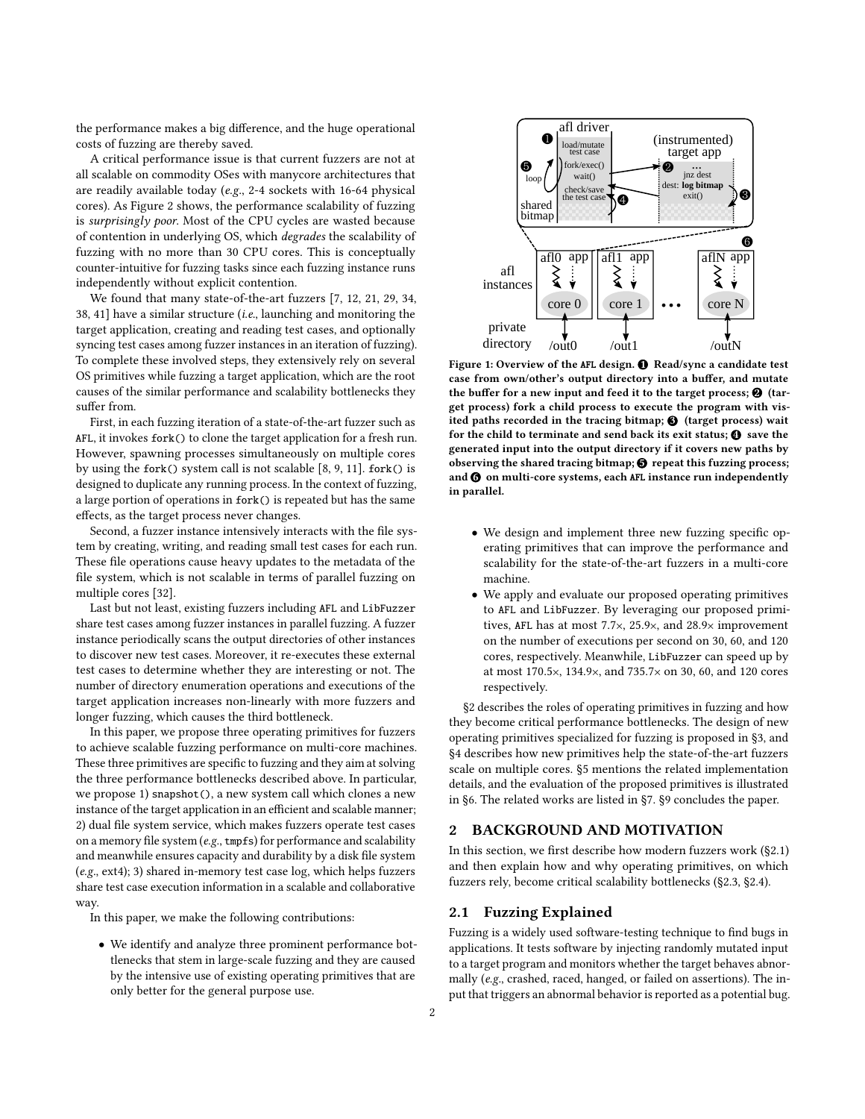the performance makes a big difference, and the huge operational costs of fuzzing are thereby saved.

A critical performance issue is that current fuzzers are not at all scalable on commodity OSes with manycore architectures that are readily available today (e.g., 2-4 sockets with 16-64 physical cores). As [Figure 2](#page-3-0) shows, the performance scalability of fuzzing is surprisingly poor. Most of the CPU cycles are wasted because of contention in underlying OS, which degrades the scalability of fuzzing with no more than 30 CPU cores. This is conceptually counter-intuitive for fuzzing tasks since each fuzzing instance runs independently without explicit contention.

We found that many state-of-the-art fuzzers [\[7,](#page-14-10) [12,](#page-14-9) [21,](#page-14-7) [29,](#page-14-8) [34,](#page-15-1) [38,](#page-15-3) [41\]](#page-15-0) have a similar structure (i.e., launching and monitoring the target application, creating and reading test cases, and optionally syncing test cases among fuzzer instances in an iteration of fuzzing). To complete these involved steps, they extensively rely on several OS primitives while fuzzing a target application, which are the root causes of the similar performance and scalability bottlenecks they suffer from.

First, in each fuzzing iteration of a state-of-the-art fuzzer such as AFL, it invokes fork() to clone the target application for a fresh run. However, spawning processes simultaneously on multiple cores by using the fork() system call is not scalable [\[8,](#page-14-13) [9,](#page-14-14) [11\]](#page-14-15). fork() is designed to duplicate any running process. In the context of fuzzing, a large portion of operations in fork() is repeated but has the same effects, as the target process never changes.

Second, a fuzzer instance intensively interacts with the file system by creating, writing, and reading small test cases for each run. These file operations cause heavy updates to the metadata of the file system, which is not scalable in terms of parallel fuzzing on multiple cores [\[32\]](#page-14-16).

Last but not least, existing fuzzers including AFL and LibFuzzer share test cases among fuzzer instances in parallel fuzzing. A fuzzer instance periodically scans the output directories of other instances to discover new test cases. Moreover, it re-executes these external test cases to determine whether they are interesting or not. The number of directory enumeration operations and executions of the target application increases non-linearly with more fuzzers and longer fuzzing, which causes the third bottleneck.

In this paper, we propose three operating primitives for fuzzers to achieve scalable fuzzing performance on multi-core machines. These three primitives are specific to fuzzing and they aim at solving the three performance bottlenecks described above. In particular, we propose 1) snapshot(), a new system call which clones a new instance of the target application in an efficient and scalable manner; 2) dual file system service, which makes fuzzers operate test cases on a memory file system (e.g., tmpfs) for performance and scalability and meanwhile ensures capacity and durability by a disk file system (e.g., ext4); 3) shared in-memory test case log, which helps fuzzers share test case execution information in a scalable and collaborative way.

In this paper, we make the following contributions:

• We identify and analyze three prominent performance bottlenecks that stem in large-scale fuzzing and they are caused by the intensive use of existing operating primitives that are only better for the general purpose use.

<span id="page-1-2"></span>

Figure 1: Overview of the AFL design.  $\bigcirc$  Read/sync a candidate test case from own/other's output directory into a buffer, and mutate the buffer for a new input and feed it to the target process;  $\bigcirc$  (target process) fork a child process to execute the program with visited paths recorded in the tracing bitmap;  $\bigcirc$  (target process) wait for the child to terminate and send back its exit status;  $\bf{Q}$  save the generated input into the output directory if it covers new paths by observing the shared tracing bitmap;  $\Theta$  repeat this fuzzing process; and  $\odot$  on multi-core systems, each AFL instance run independently in parallel.

- We design and implement three new fuzzing specific operating primitives that can improve the performance and scalability for the state-of-the-art fuzzers in a multi-core machine.
- We apply and evaluate our proposed operating primitives to AFL and LibFuzzer. By leveraging our proposed primitives, AFL has at most 7.7×, 25.9×, and 28.9<sup>×</sup> improvement on the number of executions per second on 30, 60, and 120 cores, respectively. Meanwhile, LibFuzzer can speed up by at most 170.5×, 134.9×, and 735.7<sup>×</sup> on 30, 60, and 120 cores respectively.

[§2](#page-1-0) describes the roles of operating primitives in fuzzing and how they become critical performance bottlenecks. The design of new operating primitives specialized for fuzzing is proposed in [§3,](#page-4-0) and [§4](#page-6-0) describes how new primitives help the state-of-the-art fuzzers scale on multiple cores. [§5](#page-9-0) mentions the related implementation details, and the evaluation of the proposed primitives is illustrated in [§6.](#page-10-0) The related works are listed in [§7.](#page-13-0) [§9](#page-14-17) concludes the paper.

## <span id="page-1-0"></span>2 BACKGROUND AND MOTIVATION

In this section, we first describe how modern fuzzers work [\(§2.1\)](#page-1-1) and then explain how and why operating primitives, on which fuzzers rely, become critical scalability bottlenecks [\(§2.3,](#page-2-0) [§2.4\)](#page-3-1).

## <span id="page-1-1"></span>2.1 Fuzzing Explained

Fuzzing is a widely used software-testing technique to find bugs in applications. It tests software by injecting randomly mutated input to a target program and monitors whether the target behaves abnormally (e.g., crashed, raced, hanged, or failed on assertions). The input that triggers an abnormal behavior is reported as a potential bug.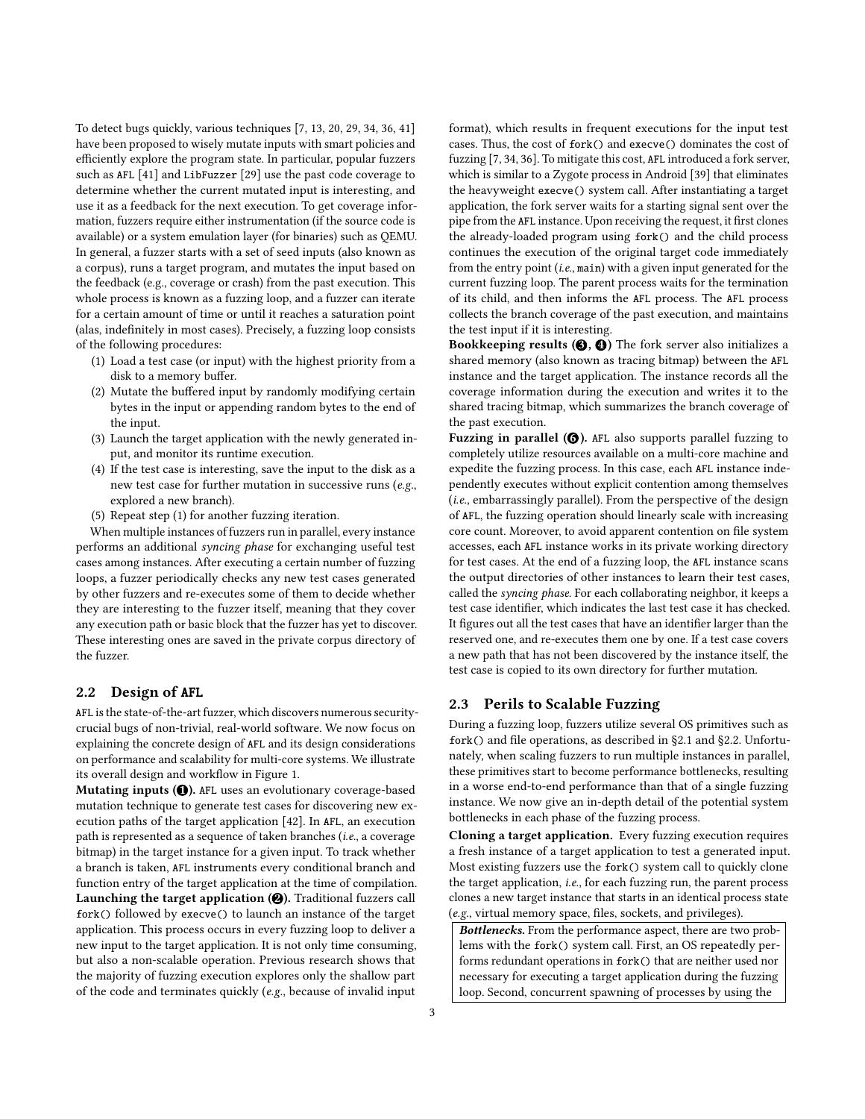To detect bugs quickly, various techniques [\[7,](#page-14-10) [13,](#page-14-11) [20,](#page-14-1) [29,](#page-14-8) [34,](#page-15-1) [36,](#page-15-2) [41\]](#page-15-0) have been proposed to wisely mutate inputs with smart policies and efficiently explore the program state. In particular, popular fuzzers such as AFL [\[41\]](#page-15-0) and LibFuzzer [\[29\]](#page-14-8) use the past code coverage to determine whether the current mutated input is interesting, and use it as a feedback for the next execution. To get coverage information, fuzzers require either instrumentation (if the source code is available) or a system emulation layer (for binaries) such as QEMU. In general, a fuzzer starts with a set of seed inputs (also known as a corpus), runs a target program, and mutates the input based on the feedback (e.g., coverage or crash) from the past execution. This whole process is known as a fuzzing loop, and a fuzzer can iterate for a certain amount of time or until it reaches a saturation point (alas, indefinitely in most cases). Precisely, a fuzzing loop consists of the following procedures:

- (1) Load a test case (or input) with the highest priority from a disk to a memory buffer.
- (2) Mutate the buffered input by randomly modifying certain bytes in the input or appending random bytes to the end of the input.
- (3) Launch the target application with the newly generated input, and monitor its runtime execution.
- (4) If the test case is interesting, save the input to the disk as a new test case for further mutation in successive runs (e.g., explored a new branch).
- (5) Repeat step (1) for another fuzzing iteration.

When multiple instances of fuzzers run in parallel, every instance performs an additional syncing phase for exchanging useful test cases among instances. After executing a certain number of fuzzing loops, a fuzzer periodically checks any new test cases generated by other fuzzers and re-executes some of them to decide whether they are interesting to the fuzzer itself, meaning that they cover any execution path or basic block that the fuzzer has yet to discover. These interesting ones are saved in the private corpus directory of the fuzzer.

#### <span id="page-2-1"></span>2.2 Design of AFL

AFL is the state-of-the-art fuzzer, which discovers numerous securitycrucial bugs of non-trivial, real-world software. We now focus on explaining the concrete design of AFL and its design considerations on performance and scalability for multi-core systems. We illustrate its overall design and workflow in [Figure 1.](#page-1-2)

Mutating inputs  $(①)$ . AFL uses an evolutionary coverage-based mutation technique to generate test cases for discovering new execution paths of the target application [\[42\]](#page-15-4). In AFL, an execution path is represented as a sequence of taken branches (i.e., a coverage bitmap) in the target instance for a given input. To track whether a branch is taken, AFL instruments every conditional branch and function entry of the target application at the time of compilation. Launching the target application  $(2)$ . Traditional fuzzers call fork() followed by execve() to launch an instance of the target application. This process occurs in every fuzzing loop to deliver a new input to the target application. It is not only time consuming, but also a non-scalable operation. Previous research shows that the majority of fuzzing execution explores only the shallow part of the code and terminates quickly (e.g., because of invalid input

format), which results in frequent executions for the input test cases. Thus, the cost of fork() and execve() dominates the cost of fuzzing [\[7,](#page-14-10) [34,](#page-15-1) [36\]](#page-15-2). To mitigate this cost, AFL introduced a fork server, which is similar to a Zygote process in Android [\[39\]](#page-15-5) that eliminates the heavyweight execve() system call. After instantiating a target application, the fork server waits for a starting signal sent over the pipe from the AFL instance. Upon receiving the request, it first clones the already-loaded program using fork() and the child process continues the execution of the original target code immediately from the entry point (i.e., main) with a given input generated for the current fuzzing loop. The parent process waits for the termination of its child, and then informs the AFL process. The AFL process collects the branch coverage of the past execution, and maintains the test input if it is interesting.

Bookkeeping results  $(③, ④)$  The fork server also initializes a shared memory (also known as tracing bitmap) between the AFL instance and the target application. The instance records all the coverage information during the execution and writes it to the shared tracing bitmap, which summarizes the branch coverage of the past execution.

Fuzzing in parallel  $(③)$ . AFL also supports parallel fuzzing to completely utilize resources available on a multi-core machine and expedite the fuzzing process. In this case, each AFL instance independently executes without explicit contention among themselves (i.e., embarrassingly parallel). From the perspective of the design of AFL, the fuzzing operation should linearly scale with increasing core count. Moreover, to avoid apparent contention on file system accesses, each AFL instance works in its private working directory for test cases. At the end of a fuzzing loop, the AFL instance scans the output directories of other instances to learn their test cases, called the syncing phase. For each collaborating neighbor, it keeps a test case identifier, which indicates the last test case it has checked. It figures out all the test cases that have an identifier larger than the reserved one, and re-executes them one by one. If a test case covers a new path that has not been discovered by the instance itself, the test case is copied to its own directory for further mutation.

#### <span id="page-2-0"></span>2.3 Perils to Scalable Fuzzing

During a fuzzing loop, fuzzers utilize several OS primitives such as fork() and file operations, as described in [§2.1](#page-1-1) and [§2.2.](#page-2-1) Unfortunately, when scaling fuzzers to run multiple instances in parallel, these primitives start to become performance bottlenecks, resulting in a worse end-to-end performance than that of a single fuzzing instance. We now give an in-depth detail of the potential system bottlenecks in each phase of the fuzzing process.

Cloning a target application. Every fuzzing execution requires a fresh instance of a target application to test a generated input. Most existing fuzzers use the fork() system call to quickly clone the target application, i.e., for each fuzzing run, the parent process clones a new target instance that starts in an identical process state (e.g., virtual memory space, files, sockets, and privileges).

Bottlenecks. From the performance aspect, there are two problems with the fork() system call. First, an OS repeatedly performs redundant operations in fork() that are neither used nor necessary for executing a target application during the fuzzing loop. Second, concurrent spawning of processes by using the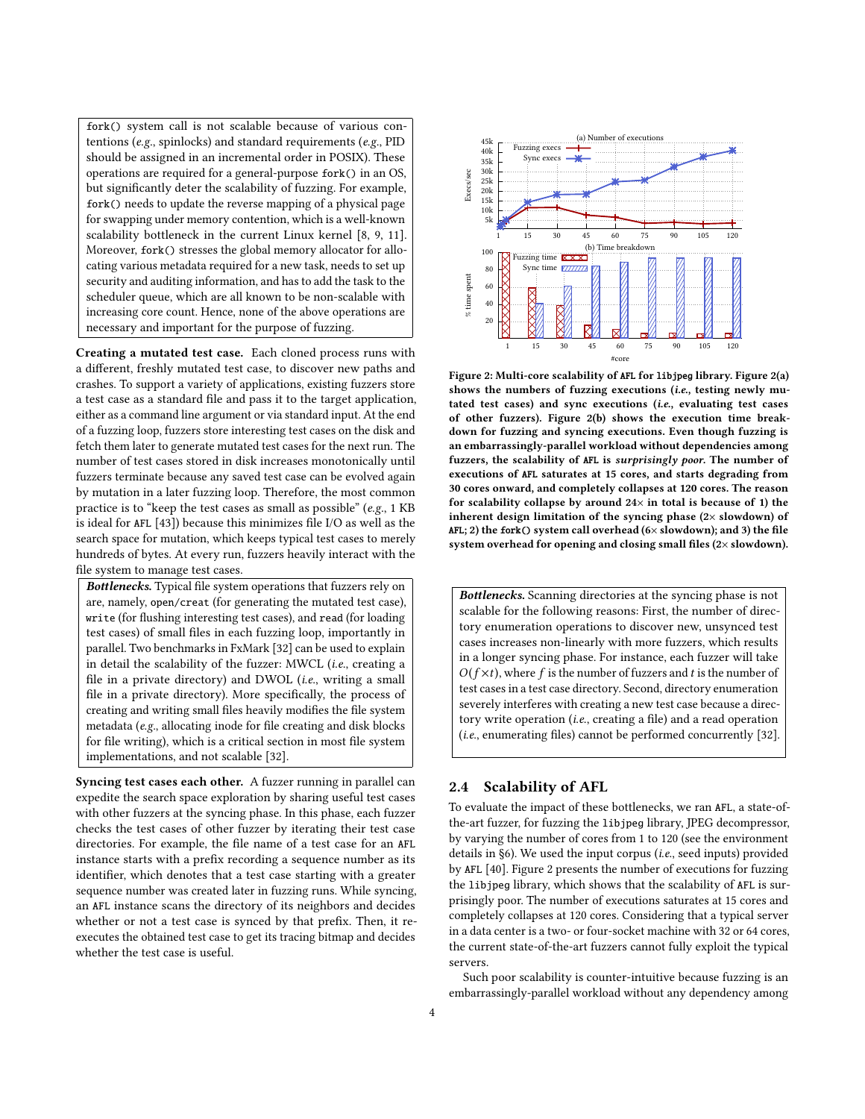fork() system call is not scalable because of various contentions (e.g., spinlocks) and standard requirements (e.g., PID should be assigned in an incremental order in POSIX). These operations are required for a general-purpose fork() in an OS, but significantly deter the scalability of fuzzing. For example, fork() needs to update the reverse mapping of a physical page for swapping under memory contention, which is a well-known scalability bottleneck in the current Linux kernel [\[8,](#page-14-13) [9,](#page-14-14) [11\]](#page-14-15). Moreover, fork() stresses the global memory allocator for allocating various metadata required for a new task, needs to set up security and auditing information, and has to add the task to the scheduler queue, which are all known to be non-scalable with increasing core count. Hence, none of the above operations are necessary and important for the purpose of fuzzing.

Creating a mutated test case. Each cloned process runs with a different, freshly mutated test case, to discover new paths and crashes. To support a variety of applications, existing fuzzers store a test case as a standard file and pass it to the target application, either as a command line argument or via standard input. At the end of a fuzzing loop, fuzzers store interesting test cases on the disk and fetch them later to generate mutated test cases for the next run. The number of test cases stored in disk increases monotonically until fuzzers terminate because any saved test case can be evolved again by mutation in a later fuzzing loop. Therefore, the most common practice is to "keep the test cases as small as possible" (e.g., 1 KB is ideal for AFL [\[43\]](#page-15-6)) because this minimizes file I/O as well as the search space for mutation, which keeps typical test cases to merely hundreds of bytes. At every run, fuzzers heavily interact with the file system to manage test cases.

Bottlenecks. Typical file system operations that fuzzers rely on are, namely, open/creat (for generating the mutated test case), write (for flushing interesting test cases), and read (for loading test cases) of small files in each fuzzing loop, importantly in parallel. Two benchmarks in FxMark [\[32\]](#page-14-16) can be used to explain in detail the scalability of the fuzzer: MWCL (i.e., creating a file in a private directory) and DWOL (*i.e.*, writing a small file in a private directory). More specifically, the process of creating and writing small files heavily modifies the file system metadata (e.g., allocating inode for file creating and disk blocks for file writing), which is a critical section in most file system implementations, and not scalable [\[32\]](#page-14-16).

Syncing test cases each other. A fuzzer running in parallel can expedite the search space exploration by sharing useful test cases with other fuzzers at the syncing phase. In this phase, each fuzzer checks the test cases of other fuzzer by iterating their test case directories. For example, the file name of a test case for an AFL instance starts with a prefix recording a sequence number as its identifier, which denotes that a test case starting with a greater sequence number was created later in fuzzing runs. While syncing, an AFL instance scans the directory of its neighbors and decides whether or not a test case is synced by that prefix. Then, it reexecutes the obtained test case to get its tracing bitmap and decides whether the test case is useful.

<span id="page-3-0"></span>

Figure 2: Multi-core scalability of AFL for libjpeg library. [Figure 2\(](#page-3-0)a) shows the numbers of fuzzing executions (i.e., testing newly mutated test cases) and sync executions (i.e., evaluating test cases of other fuzzers). [Figure 2\(](#page-3-0)b) shows the execution time breakdown for fuzzing and syncing executions. Even though fuzzing is an embarrassingly-parallel workload without dependencies among fuzzers, the scalability of AFL is surprisingly poor. The number of executions of AFL saturates at 15 cores, and starts degrading from 30 cores onward, and completely collapses at 120 cores. The reason for scalability collapse by around  $24\times$  in total is because of 1) the inherent design limitation of the syncing phase (2× slowdown) of AFL; 2) the fork() system call overhead  $(6 \times$  slowdown); and 3) the file system overhead for opening and closing small files (2× slowdown).

Bottlenecks. Scanning directories at the syncing phase is not scalable for the following reasons: First, the number of directory enumeration operations to discover new, unsynced test cases increases non-linearly with more fuzzers, which results in a longer syncing phase. For instance, each fuzzer will take  $O(f \times t)$ , where f is the number of fuzzers and t is the number of test cases in a test case directory. Second, directory enumeration severely interferes with creating a new test case because a directory write operation (i.e., creating a file) and a read operation (i.e., enumerating files) cannot be performed concurrently [\[32\]](#page-14-16).

#### <span id="page-3-1"></span>2.4 Scalability of AFL

To evaluate the impact of these bottlenecks, we ran AFL, a state-ofthe-art fuzzer, for fuzzing the libjpeg library, JPEG decompressor, by varying the number of cores from 1 to 120 (see the environment details in [§6\)](#page-10-0). We used the input corpus (i.e., seed inputs) provided by AFL [\[40\]](#page-15-7). [Figure 2](#page-3-0) presents the number of executions for fuzzing the libjpeg library, which shows that the scalability of AFL is surprisingly poor. The number of executions saturates at 15 cores and completely collapses at 120 cores. Considering that a typical server in a data center is a two- or four-socket machine with 32 or 64 cores, the current state-of-the-art fuzzers cannot fully exploit the typical servers.

Such poor scalability is counter-intuitive because fuzzing is an embarrassingly-parallel workload without any dependency among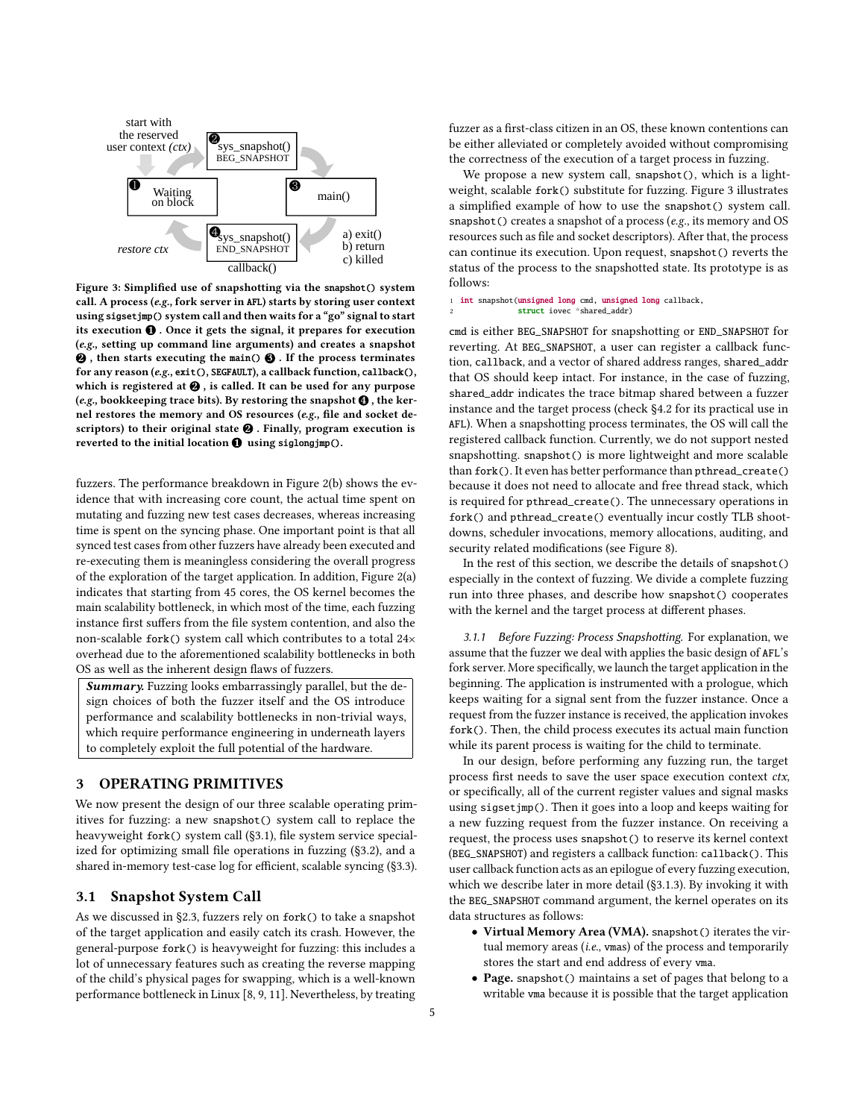<span id="page-4-2"></span>

Figure 3: Simplified use of snapshotting via the snapshot() system call. A process (e.g., fork server in AFL) starts by storing user context using sigsetjmp() system call and then waits for a "go" signal to start its execution  $\mathbf 0$  . Once it gets the signal, it prepares for execution (e.g., setting up command line arguments) and creates a snapshot  $\Theta$ , then starts executing the main()  $\Theta$ . If the process terminates for any reason (e.g., exit(), SEGFAULT), a callback function, callback(), which is registered at  $\mathbf{\Theta}$ , is called. It can be used for any purpose (e.g., bookkeeping trace bits). By restoring the snapshot  $\bigcirc$  , the kernel restores the memory and OS resources (e.g., file and socket descriptors) to their original state  $\Theta$  . Finally, program execution is reverted to the initial location  $\bf{0}$  using siglongjmp().

fuzzers. The performance breakdown in [Figure 2\(](#page-3-0)b) shows the evidence that with increasing core count, the actual time spent on mutating and fuzzing new test cases decreases, whereas increasing time is spent on the syncing phase. One important point is that all synced test cases from other fuzzers have already been executed and re-executing them is meaningless considering the overall progress of the exploration of the target application. In addition, [Figure 2\(](#page-3-0)a) indicates that starting from 45 cores, the OS kernel becomes the main scalability bottleneck, in which most of the time, each fuzzing instance first suffers from the file system contention, and also the non-scalable fork() system call which contributes to a total 24<sup>×</sup> overhead due to the aforementioned scalability bottlenecks in both OS as well as the inherent design flaws of fuzzers.

Summary. Fuzzing looks embarrassingly parallel, but the design choices of both the fuzzer itself and the OS introduce performance and scalability bottlenecks in non-trivial ways, which require performance engineering in underneath layers to completely exploit the full potential of the hardware.

# <span id="page-4-0"></span>3 OPERATING PRIMITIVES

We now present the design of our three scalable operating primitives for fuzzing: a new snapshot() system call to replace the heavyweight fork() system call [\(§3.1\)](#page-4-1), file system service specialized for optimizing small file operations in fuzzing [\(§3.2\)](#page-5-0), and a shared in-memory test-case log for efficient, scalable syncing [\(§3.3\)](#page-6-1).

## <span id="page-4-1"></span>3.1 Snapshot System Call

As we discussed in [§2.3,](#page-2-0) fuzzers rely on fork() to take a snapshot of the target application and easily catch its crash. However, the general-purpose fork() is heavyweight for fuzzing: this includes a lot of unnecessary features such as creating the reverse mapping of the child's physical pages for swapping, which is a well-known performance bottleneck in Linux [\[8,](#page-14-13) [9,](#page-14-14) [11\]](#page-14-15). Nevertheless, by treating fuzzer as a first-class citizen in an OS, these known contentions can be either alleviated or completely avoided without compromising the correctness of the execution of a target process in fuzzing.

We propose a new system call, snapshot(), which is a lightweight, scalable fork() substitute for fuzzing. [Figure 3](#page-4-2) illustrates a simplified example of how to use the snapshot() system call. snapshot() creates a snapshot of a process (e.g., its memory and OS resources such as file and socket descriptors). After that, the process can continue its execution. Upon request, snapshot() reverts the status of the process to the snapshotted state. Its prototype is as follows:

1 int snapshot(unsigned long cmd, unsigned long callback, struct iovec \*shared\_addr)

cmd is either BEG\_SNAPSHOT for snapshotting or END\_SNAPSHOT for reverting. At BEG\_SNAPSHOT, a user can register a callback function, callback, and a vector of shared address ranges, shared\_addr that OS should keep intact. For instance, in the case of fuzzing, shared\_addr indicates the trace bitmap shared between a fuzzer instance and the target process (check [§4.2](#page-8-0) for its practical use in AFL). When a snapshotting process terminates, the OS will call the registered callback function. Currently, we do not support nested snapshotting. snapshot() is more lightweight and more scalable than fork(). It even has better performance than pthread\_create() because it does not need to allocate and free thread stack, which is required for pthread\_create(). The unnecessary operations in fork() and pthread\_create() eventually incur costly TLB shootdowns, scheduler invocations, memory allocations, auditing, and security related modifications (see [Figure 8\)](#page-12-0).

In the rest of this section, we describe the details of snapshot() especially in the context of fuzzing. We divide a complete fuzzing run into three phases, and describe how snapshot() cooperates with the kernel and the target process at different phases.

<span id="page-4-3"></span>3.1.1 Before Fuzzing: Process Snapshotting. For explanation, we assume that the fuzzer we deal with applies the basic design of AFL's fork server. More specifically, we launch the target application in the beginning. The application is instrumented with a prologue, which keeps waiting for a signal sent from the fuzzer instance. Once a request from the fuzzer instance is received, the application invokes fork(). Then, the child process executes its actual main function while its parent process is waiting for the child to terminate.

In our design, before performing any fuzzing run, the target process first needs to save the user space execution context ctx, or specifically, all of the current register values and signal masks using sigsetjmp(). Then it goes into a loop and keeps waiting for a new fuzzing request from the fuzzer instance. On receiving a request, the process uses snapshot() to reserve its kernel context (BEG\_SNAPSHOT) and registers a callback function: callback(). This user callback function acts as an epilogue of every fuzzing execution, which we describe later in more detail [\(§3.1.3\)](#page-5-1). By invoking it with the BEG\_SNAPSHOT command argument, the kernel operates on its data structures as follows:

- Virtual Memory Area (VMA). snapshot() iterates the virtual memory areas (*i.e.*, vmas) of the process and temporarily stores the start and end address of every vma.
- Page. snapshot() maintains a set of pages that belong to a writable vma because it is possible that the target application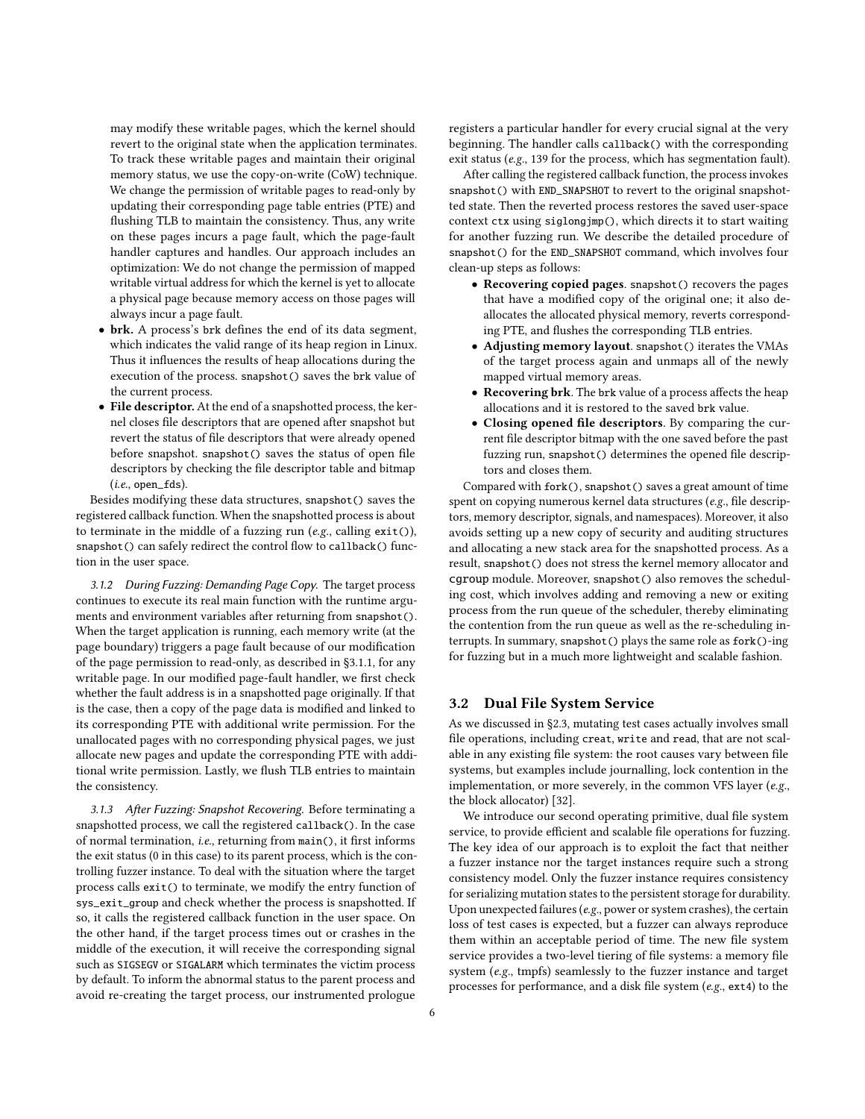may modify these writable pages, which the kernel should revert to the original state when the application terminates. To track these writable pages and maintain their original memory status, we use the copy-on-write (CoW) technique. We change the permission of writable pages to read-only by updating their corresponding page table entries (PTE) and flushing TLB to maintain the consistency. Thus, any write on these pages incurs a page fault, which the page-fault handler captures and handles. Our approach includes an optimization: We do not change the permission of mapped writable virtual address for which the kernel is yet to allocate a physical page because memory access on those pages will always incur a page fault.

- brk. A process's brk defines the end of its data segment, which indicates the valid range of its heap region in Linux. Thus it influences the results of heap allocations during the execution of the process. snapshot() saves the brk value of the current process.
- File descriptor. At the end of a snapshotted process, the kernel closes file descriptors that are opened after snapshot but revert the status of file descriptors that were already opened before snapshot. snapshot() saves the status of open file descriptors by checking the file descriptor table and bitmap  $(i.e., open_fds)$ .

Besides modifying these data structures, snapshot() saves the registered callback function. When the snapshotted process is about to terminate in the middle of a fuzzing run ( $e.g.,$  calling  $exit(),$ snapshot() can safely redirect the control flow to callback() function in the user space.

3.1.2 During Fuzzing: Demanding Page Copy. The target process continues to execute its real main function with the runtime arguments and environment variables after returning from snapshot(). When the target application is running, each memory write (at the page boundary) triggers a page fault because of our modification of the page permission to read-only, as described in [§3.1.1,](#page-4-3) for any writable page. In our modified page-fault handler, we first check whether the fault address is in a snapshotted page originally. If that is the case, then a copy of the page data is modified and linked to its corresponding PTE with additional write permission. For the unallocated pages with no corresponding physical pages, we just allocate new pages and update the corresponding PTE with additional write permission. Lastly, we flush TLB entries to maintain the consistency.

<span id="page-5-1"></span>3.1.3 After Fuzzing: Snapshot Recovering. Before terminating a snapshotted process, we call the registered callback(). In the case of normal termination, i.e., returning from main(), it first informs the exit status (0 in this case) to its parent process, which is the controlling fuzzer instance. To deal with the situation where the target process calls exit() to terminate, we modify the entry function of sys\_exit\_group and check whether the process is snapshotted. If so, it calls the registered callback function in the user space. On the other hand, if the target process times out or crashes in the middle of the execution, it will receive the corresponding signal such as SIGSEGV or SIGALARM which terminates the victim process by default. To inform the abnormal status to the parent process and avoid re-creating the target process, our instrumented prologue

registers a particular handler for every crucial signal at the very beginning. The handler calls callback() with the corresponding exit status (e.g., 139 for the process, which has segmentation fault).

After calling the registered callback function, the process invokes snapshot() with END\_SNAPSHOT to revert to the original snapshotted state. Then the reverted process restores the saved user-space context ctx using siglongjmp(), which directs it to start waiting for another fuzzing run. We describe the detailed procedure of snapshot() for the END\_SNAPSHOT command, which involves four clean-up steps as follows:

- Recovering copied pages. snapshot() recovers the pages that have a modified copy of the original one; it also deallocates the allocated physical memory, reverts corresponding PTE, and flushes the corresponding TLB entries.
- Adjusting memory layout. snapshot() iterates the VMAs of the target process again and unmaps all of the newly mapped virtual memory areas.
- Recovering brk. The brk value of a process affects the heap allocations and it is restored to the saved brk value.
- Closing opened file descriptors. By comparing the current file descriptor bitmap with the one saved before the past fuzzing run, snapshot() determines the opened file descriptors and closes them.

Compared with fork(), snapshot() saves a great amount of time spent on copying numerous kernel data structures (e.g., file descriptors, memory descriptor, signals, and namespaces). Moreover, it also avoids setting up a new copy of security and auditing structures and allocating a new stack area for the snapshotted process. As a result, snapshot() does not stress the kernel memory allocator and cgroup module. Moreover, snapshot() also removes the scheduling cost, which involves adding and removing a new or exiting process from the run queue of the scheduler, thereby eliminating the contention from the run queue as well as the re-scheduling interrupts. In summary, snapshot() plays the same role as fork()-ing for fuzzing but in a much more lightweight and scalable fashion.

#### <span id="page-5-0"></span>3.2 Dual File System Service

As we discussed in [§2.3,](#page-2-0) mutating test cases actually involves small file operations, including creat, write and read, that are not scalable in any existing file system: the root causes vary between file systems, but examples include journalling, lock contention in the implementation, or more severely, in the common VFS layer (e.g., the block allocator) [\[32\]](#page-14-16).

We introduce our second operating primitive, dual file system service, to provide efficient and scalable file operations for fuzzing. The key idea of our approach is to exploit the fact that neither a fuzzer instance nor the target instances require such a strong consistency model. Only the fuzzer instance requires consistency for serializing mutation states to the persistent storage for durability. Upon unexpected failures (e.g., power or system crashes), the certain loss of test cases is expected, but a fuzzer can always reproduce them within an acceptable period of time. The new file system service provides a two-level tiering of file systems: a memory file system (e.g., tmpfs) seamlessly to the fuzzer instance and target processes for performance, and a disk file system (e.g., ext4) to the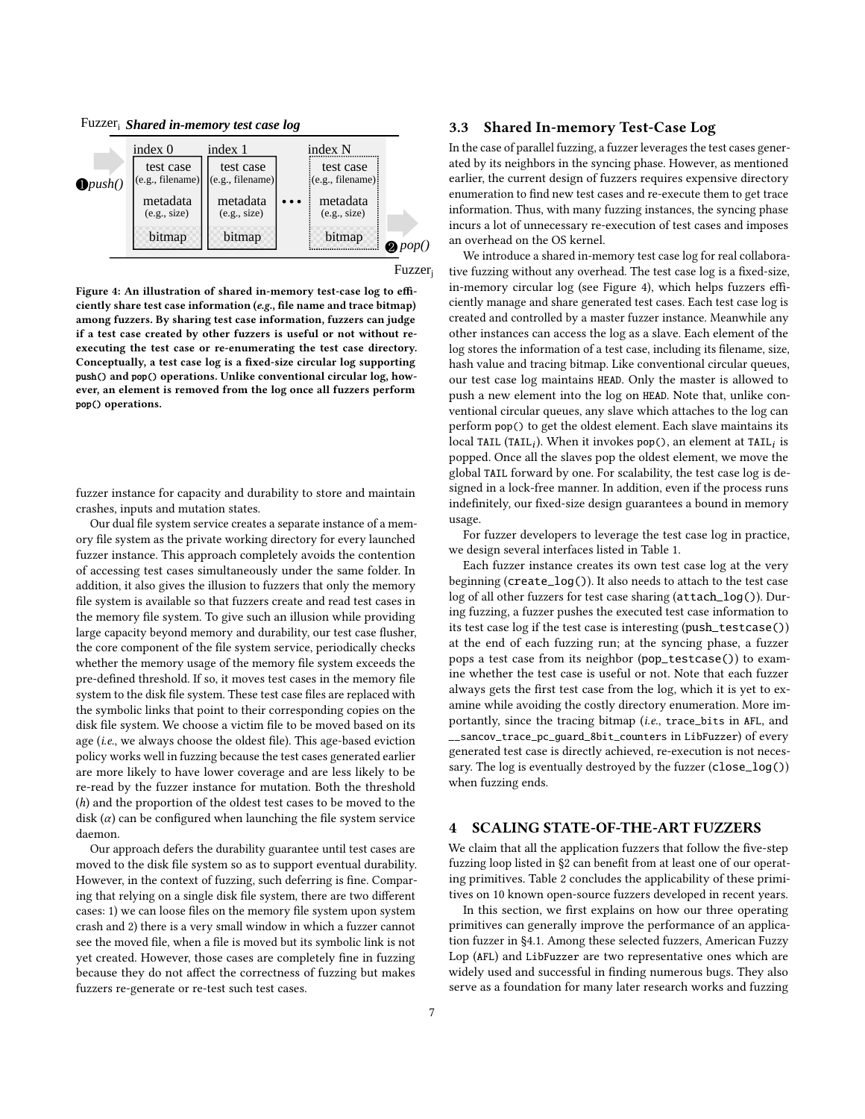<span id="page-6-2"></span>Fuzzeri *Shared in-memory test case log*

|                    | index 0                       | index 1                       | index N                               |                 |
|--------------------|-------------------------------|-------------------------------|---------------------------------------|-----------------|
| $\bigoplus$ push() | test case<br>(e.g., filename) | test case<br>(e.g., filename) | test case<br>$(e.g., filename)$ :     |                 |
|                    | metadata<br>(e.g., size)      | metadata<br>(e.g., size)      | metadata<br>$\ddotsc$<br>(e.g., size) |                 |
|                    | bitmap                        | bitmap                        | bitmap                                | $\bullet$ pop() |

Fuzzer<sub>i</sub>

Figure 4: An illustration of shared in-memory test-case log to efficiently share test case information (e.g., file name and trace bitmap) among fuzzers. By sharing test case information, fuzzers can judge if a test case created by other fuzzers is useful or not without reexecuting the test case or re-enumerating the test case directory. Conceptually, a test case log is a fixed-size circular log supporting push() and pop() operations. Unlike conventional circular log, however, an element is removed from the log once all fuzzers perform pop() operations.

fuzzer instance for capacity and durability to store and maintain crashes, inputs and mutation states.

Our dual file system service creates a separate instance of a memory file system as the private working directory for every launched fuzzer instance. This approach completely avoids the contention of accessing test cases simultaneously under the same folder. In addition, it also gives the illusion to fuzzers that only the memory file system is available so that fuzzers create and read test cases in the memory file system. To give such an illusion while providing large capacity beyond memory and durability, our test case flusher, the core component of the file system service, periodically checks whether the memory usage of the memory file system exceeds the pre-defined threshold. If so, it moves test cases in the memory file system to the disk file system. These test case files are replaced with the symbolic links that point to their corresponding copies on the disk file system. We choose a victim file to be moved based on its age (i.e., we always choose the oldest file). This age-based eviction policy works well in fuzzing because the test cases generated earlier are more likely to have lower coverage and are less likely to be re-read by the fuzzer instance for mutation. Both the threshold (h) and the proportion of the oldest test cases to be moved to the disk  $(\alpha)$  can be configured when launching the file system service daemon.

Our approach defers the durability guarantee until test cases are moved to the disk file system so as to support eventual durability. However, in the context of fuzzing, such deferring is fine. Comparing that relying on a single disk file system, there are two different cases: 1) we can loose files on the memory file system upon system crash and 2) there is a very small window in which a fuzzer cannot see the moved file, when a file is moved but its symbolic link is not yet created. However, those cases are completely fine in fuzzing because they do not affect the correctness of fuzzing but makes fuzzers re-generate or re-test such test cases.

## <span id="page-6-1"></span>3.3 Shared In-memory Test-Case Log

In the case of parallel fuzzing, a fuzzer leverages the test cases generated by its neighbors in the syncing phase. However, as mentioned earlier, the current design of fuzzers requires expensive directory enumeration to find new test cases and re-execute them to get trace information. Thus, with many fuzzing instances, the syncing phase incurs a lot of unnecessary re-execution of test cases and imposes an overhead on the OS kernel.

We introduce a shared in-memory test case log for real collaborative fuzzing without any overhead. The test case log is a fixed-size, in-memory circular log (see [Figure 4\)](#page-6-2), which helps fuzzers efficiently manage and share generated test cases. Each test case log is created and controlled by a master fuzzer instance. Meanwhile any other instances can access the log as a slave. Each element of the log stores the information of a test case, including its filename, size, hash value and tracing bitmap. Like conventional circular queues, our test case log maintains HEAD. Only the master is allowed to push a new element into the log on HEAD. Note that, unlike conventional circular queues, any slave which attaches to the log can perform pop() to get the oldest element. Each slave maintains its  $\overline{\text{local TAIL (TAIL}_i)}.$  When it invokes pop(), an element at TAIL $_i$  is popped. Once all the slaves pop the oldest element, we move the global TAIL forward by one. For scalability, the test case log is designed in a lock-free manner. In addition, even if the process runs indefinitely, our fixed-size design guarantees a bound in memory usage.

For fuzzer developers to leverage the test case log in practice, we design several interfaces listed in [Table 1.](#page-7-0)

Each fuzzer instance creates its own test case log at the very beginning (create\_log()). It also needs to attach to the test case log of all other fuzzers for test case sharing (attach\_log()). During fuzzing, a fuzzer pushes the executed test case information to its test case log if the test case is interesting (push\_testcase()) at the end of each fuzzing run; at the syncing phase, a fuzzer pops a test case from its neighbor (pop\_testcase()) to examine whether the test case is useful or not. Note that each fuzzer always gets the first test case from the log, which it is yet to examine while avoiding the costly directory enumeration. More importantly, since the tracing bitmap (i.e., trace\_bits in AFL, and \_\_sancov\_trace\_pc\_guard\_8bit\_counters in LibFuzzer) of every generated test case is directly achieved, re-execution is not necessary. The log is eventually destroyed by the fuzzer (close\_log()) when fuzzing ends.

## <span id="page-6-0"></span>4 SCALING STATE-OF-THE-ART FUZZERS

We claim that all the application fuzzers that follow the five-step fuzzing loop listed in [§2](#page-1-0) can benefit from at least one of our operating primitives. [Table 2](#page-7-1) concludes the applicability of these primitives on 10 known open-source fuzzers developed in recent years.

In this section, we first explains on how our three operating primitives can generally improve the performance of an application fuzzer in [§4.1.](#page-7-2) Among these selected fuzzers, American Fuzzy Lop (AFL) and LibFuzzer are two representative ones which are widely used and successful in finding numerous bugs. They also serve as a foundation for many later research works and fuzzing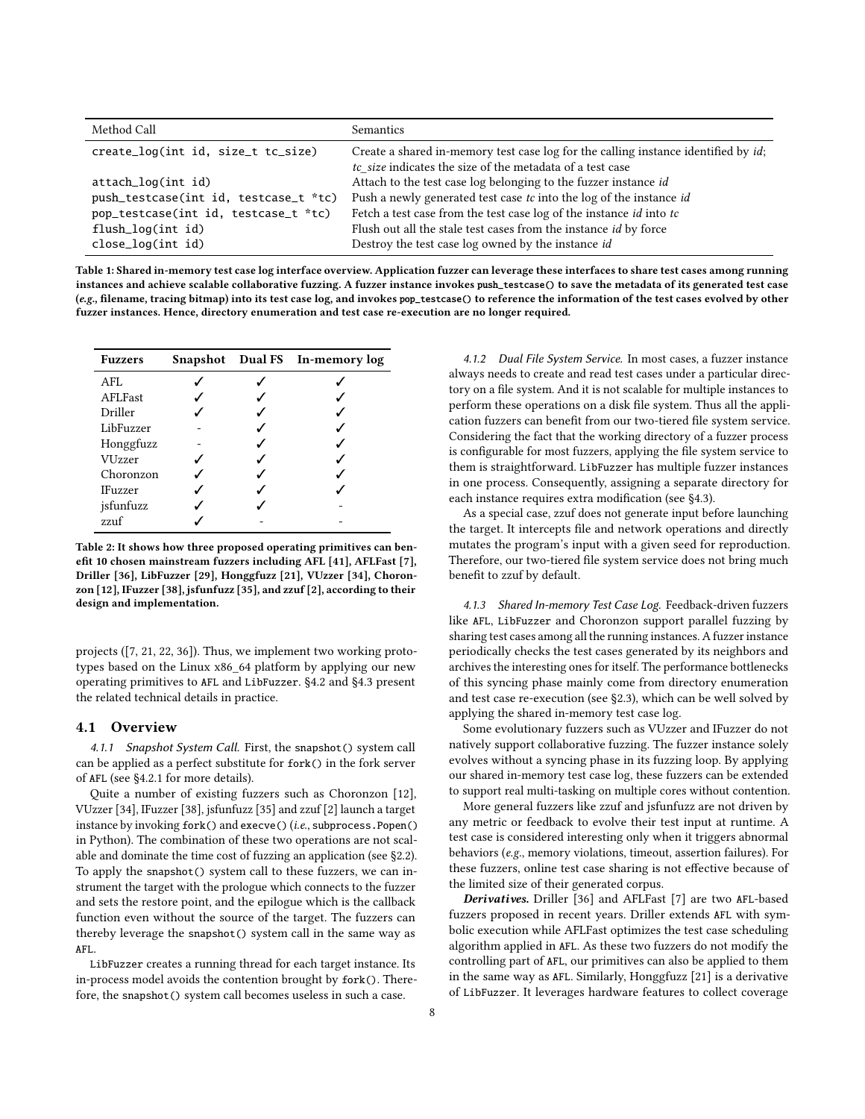<span id="page-7-0"></span>

| Method Call                           | Semantics                                                                          |  |
|---------------------------------------|------------------------------------------------------------------------------------|--|
| create_log(int id, size_t tc_size)    | Create a shared in-memory test case log for the calling instance identified by id; |  |
|                                       | tc_size indicates the size of the metadata of a test case                          |  |
| attach_log(int id)                    | Attach to the test case log belonging to the fuzzer instance id                    |  |
| push_testcase(int id, testcase_t *tc) | Push a newly generated test case tc into the log of the instance id                |  |
| pop_testcase(int id, testcase_t *tc)  | Fetch a test case from the test case log of the instance <i>id</i> into tc         |  |
| flush_log(int id)                     | Flush out all the stale test cases from the instance id by force                   |  |
| $close\_log(int id)$                  | Destroy the test case log owned by the instance id                                 |  |

Table 1: Shared in-memory test case log interface overview. Application fuzzer can leverage these interfaces to share test cases among running instances and achieve scalable collaborative fuzzing. A fuzzer instance invokes push\_testcase() to save the metadata of its generated test case (e.g., filename, tracing bitmap) into its test case log, and invokes pop\_testcase() to reference the information of the test cases evolved by other fuzzer instances. Hence, directory enumeration and test case re-execution are no longer required.

<span id="page-7-1"></span>

| <b>Fuzzers</b> |  | Snapshot Dual FS In-memory log |
|----------------|--|--------------------------------|
| AFL            |  |                                |
| AFLFast        |  |                                |
| Driller        |  |                                |
| LibFuzzer      |  |                                |
| Honggfuzz      |  |                                |
| VUzzer         |  |                                |
| Choronzon      |  |                                |
| <b>IFuzzer</b> |  |                                |
| jsfunfuzz      |  |                                |
| zzuf           |  |                                |

Table 2: It shows how three proposed operating primitives can benefit 10 chosen mainstream fuzzers including AFL [\[41\]](#page-15-0), AFLFast [\[7\]](#page-14-10), Driller [\[36\]](#page-15-2), LibFuzzer [\[29\]](#page-14-8), Honggfuzz [\[21\]](#page-14-7), VUzzer [\[34\]](#page-15-1), Choronzon [\[12\]](#page-14-9), IFuzzer [\[38\]](#page-15-3), jsfunfuzz [\[35\]](#page-15-8), and zzuf [\[2\]](#page-14-18), according to their design and implementation.

projects ([\[7,](#page-14-10) [21,](#page-14-7) [22,](#page-14-2) [36\]](#page-15-2)). Thus, we implement two working prototypes based on the Linux x86\_64 platform by applying our new operating primitives to AFL and LibFuzzer. [§4.2](#page-8-0) and [§4.3](#page-8-1) present the related technical details in practice.

#### <span id="page-7-2"></span>4.1 Overview

4.1.1 Snapshot System Call. First, the snapshot () system call can be applied as a perfect substitute for fork() in the fork server of AFL (see [§4.2.1](#page-8-2) for more details).

Quite a number of existing fuzzers such as Choronzon [\[12\]](#page-14-9), VUzzer [\[34\]](#page-15-1), IFuzzer [\[38\]](#page-15-3), jsfunfuzz [\[35\]](#page-15-8) and zzuf [\[2\]](#page-14-18) launch a target instance by invoking fork() and execve() (i.e., subprocess. Popen() in Python). The combination of these two operations are not scalable and dominate the time cost of fuzzing an application (see [§2.2\)](#page-2-1). To apply the snapshot() system call to these fuzzers, we can instrument the target with the prologue which connects to the fuzzer and sets the restore point, and the epilogue which is the callback function even without the source of the target. The fuzzers can thereby leverage the snapshot() system call in the same way as AFL.

LibFuzzer creates a running thread for each target instance. Its in-process model avoids the contention brought by fork(). Therefore, the snapshot() system call becomes useless in such a case.

4.1.2 Dual File System Service. In most cases, a fuzzer instance always needs to create and read test cases under a particular directory on a file system. And it is not scalable for multiple instances to perform these operations on a disk file system. Thus all the application fuzzers can benefit from our two-tiered file system service. Considering the fact that the working directory of a fuzzer process is configurable for most fuzzers, applying the file system service to them is straightforward. LibFuzzer has multiple fuzzer instances in one process. Consequently, assigning a separate directory for each instance requires extra modification (see [§4.3\)](#page-8-1).

As a special case, zzuf does not generate input before launching the target. It intercepts file and network operations and directly mutates the program's input with a given seed for reproduction. Therefore, our two-tiered file system service does not bring much benefit to zzuf by default.

4.1.3 Shared In-memory Test Case Log. Feedback-driven fuzzers like AFL, LibFuzzer and Choronzon support parallel fuzzing by sharing test cases among all the running instances. A fuzzer instance periodically checks the test cases generated by its neighbors and archives the interesting ones for itself. The performance bottlenecks of this syncing phase mainly come from directory enumeration and test case re-execution (see [§2.3\)](#page-2-0), which can be well solved by applying the shared in-memory test case log.

Some evolutionary fuzzers such as VUzzer and IFuzzer do not natively support collaborative fuzzing. The fuzzer instance solely evolves without a syncing phase in its fuzzing loop. By applying our shared in-memory test case log, these fuzzers can be extended to support real multi-tasking on multiple cores without contention.

More general fuzzers like zzuf and jsfunfuzz are not driven by any metric or feedback to evolve their test input at runtime. A test case is considered interesting only when it triggers abnormal behaviors (e.g., memory violations, timeout, assertion failures). For these fuzzers, online test case sharing is not effective because of the limited size of their generated corpus.

Derivatives. Driller [\[36\]](#page-15-2) and AFLFast [\[7\]](#page-14-10) are two AFL-based fuzzers proposed in recent years. Driller extends AFL with symbolic execution while AFLFast optimizes the test case scheduling algorithm applied in AFL. As these two fuzzers do not modify the controlling part of AFL, our primitives can also be applied to them in the same way as AFL. Similarly, Honggfuzz [\[21\]](#page-14-7) is a derivative of LibFuzzer. It leverages hardware features to collect coverage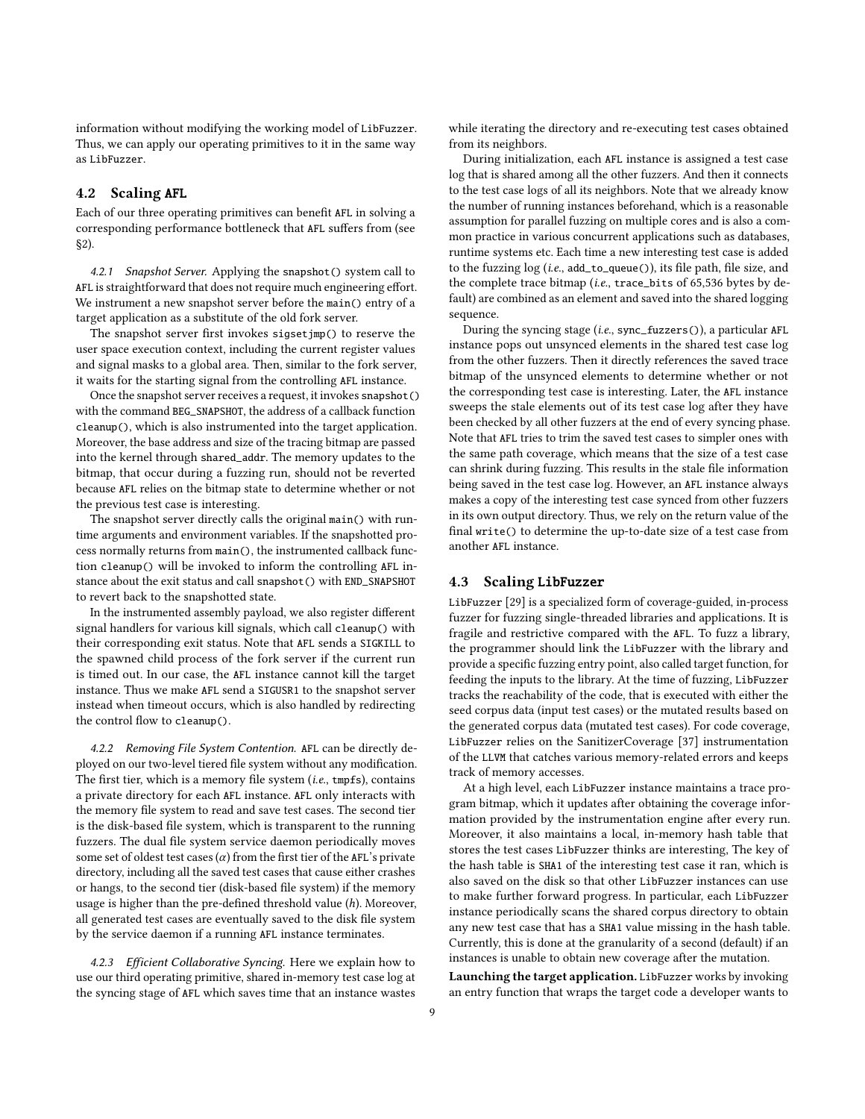information without modifying the working model of LibFuzzer. Thus, we can apply our operating primitives to it in the same way as LibFuzzer.

#### <span id="page-8-0"></span>4.2 Scaling AFL

Each of our three operating primitives can benefit AFL in solving a corresponding performance bottleneck that AFL suffers from (see [§2\)](#page-1-0).

<span id="page-8-2"></span>4.2.1 Snapshot Server. Applying the snapshot () system call to AFL is straightforward that does not require much engineering effort. We instrument a new snapshot server before the main() entry of a target application as a substitute of the old fork server.

The snapshot server first invokes sigsetjmp() to reserve the user space execution context, including the current register values and signal masks to a global area. Then, similar to the fork server, it waits for the starting signal from the controlling AFL instance.

Once the snapshot server receives a request, it invokes snapshot() with the command BEG\_SNAPSHOT, the address of a callback function cleanup(), which is also instrumented into the target application. Moreover, the base address and size of the tracing bitmap are passed into the kernel through shared\_addr. The memory updates to the bitmap, that occur during a fuzzing run, should not be reverted because AFL relies on the bitmap state to determine whether or not the previous test case is interesting.

The snapshot server directly calls the original main() with runtime arguments and environment variables. If the snapshotted process normally returns from main(), the instrumented callback function cleanup() will be invoked to inform the controlling AFL instance about the exit status and call snapshot() with END\_SNAPSHOT to revert back to the snapshotted state.

In the instrumented assembly payload, we also register different signal handlers for various kill signals, which call cleanup() with their corresponding exit status. Note that AFL sends a SIGKILL to the spawned child process of the fork server if the current run is timed out. In our case, the AFL instance cannot kill the target instance. Thus we make AFL send a SIGUSR1 to the snapshot server instead when timeout occurs, which is also handled by redirecting the control flow to cleanup().

<span id="page-8-3"></span>4.2.2 Removing File System Contention. AFL can be directly deployed on our two-level tiered file system without any modification. The first tier, which is a memory file system (*i.e.*, tmpfs), contains a private directory for each AFL instance. AFL only interacts with the memory file system to read and save test cases. The second tier is the disk-based file system, which is transparent to the running fuzzers. The dual file system service daemon periodically moves some set of oldest test cases  $(\alpha)$  from the first tier of the AFL's private directory, including all the saved test cases that cause either crashes or hangs, to the second tier (disk-based file system) if the memory usage is higher than the pre-defined threshold value (h). Moreover, all generated test cases are eventually saved to the disk file system by the service daemon if a running AFL instance terminates.

4.2.3 Efficient Collaborative Syncing. Here we explain how to use our third operating primitive, shared in-memory test case log at the syncing stage of AFL which saves time that an instance wastes while iterating the directory and re-executing test cases obtained from its neighbors.

During initialization, each AFL instance is assigned a test case log that is shared among all the other fuzzers. And then it connects to the test case logs of all its neighbors. Note that we already know the number of running instances beforehand, which is a reasonable assumption for parallel fuzzing on multiple cores and is also a common practice in various concurrent applications such as databases, runtime systems etc. Each time a new interesting test case is added to the fuzzing log (i.e., add\_to\_queue()), its file path, file size, and the complete trace bitmap (*i.e.*, trace\_bits of 65,536 bytes by default) are combined as an element and saved into the shared logging sequence.

During the syncing stage (i.e., sync\_fuzzers()), a particular AFL instance pops out unsynced elements in the shared test case log from the other fuzzers. Then it directly references the saved trace bitmap of the unsynced elements to determine whether or not the corresponding test case is interesting. Later, the AFL instance sweeps the stale elements out of its test case log after they have been checked by all other fuzzers at the end of every syncing phase. Note that AFL tries to trim the saved test cases to simpler ones with the same path coverage, which means that the size of a test case can shrink during fuzzing. This results in the stale file information being saved in the test case log. However, an AFL instance always makes a copy of the interesting test case synced from other fuzzers in its own output directory. Thus, we rely on the return value of the final write() to determine the up-to-date size of a test case from another AFL instance.

# <span id="page-8-1"></span>4.3 Scaling LibFuzzer

LibFuzzer [\[29\]](#page-14-8) is a specialized form of coverage-guided, in-process fuzzer for fuzzing single-threaded libraries and applications. It is fragile and restrictive compared with the AFL. To fuzz a library, the programmer should link the LibFuzzer with the library and provide a specific fuzzing entry point, also called target function, for feeding the inputs to the library. At the time of fuzzing, LibFuzzer tracks the reachability of the code, that is executed with either the seed corpus data (input test cases) or the mutated results based on the generated corpus data (mutated test cases). For code coverage, LibFuzzer relies on the SanitizerCoverage [\[37\]](#page-15-9) instrumentation of the LLVM that catches various memory-related errors and keeps track of memory accesses.

At a high level, each LibFuzzer instance maintains a trace program bitmap, which it updates after obtaining the coverage information provided by the instrumentation engine after every run. Moreover, it also maintains a local, in-memory hash table that stores the test cases LibFuzzer thinks are interesting, The key of the hash table is SHA1 of the interesting test case it ran, which is also saved on the disk so that other LibFuzzer instances can use to make further forward progress. In particular, each LibFuzzer instance periodically scans the shared corpus directory to obtain any new test case that has a SHA1 value missing in the hash table. Currently, this is done at the granularity of a second (default) if an instances is unable to obtain new coverage after the mutation.

Launching the target application. LibFuzzer works by invoking an entry function that wraps the target code a developer wants to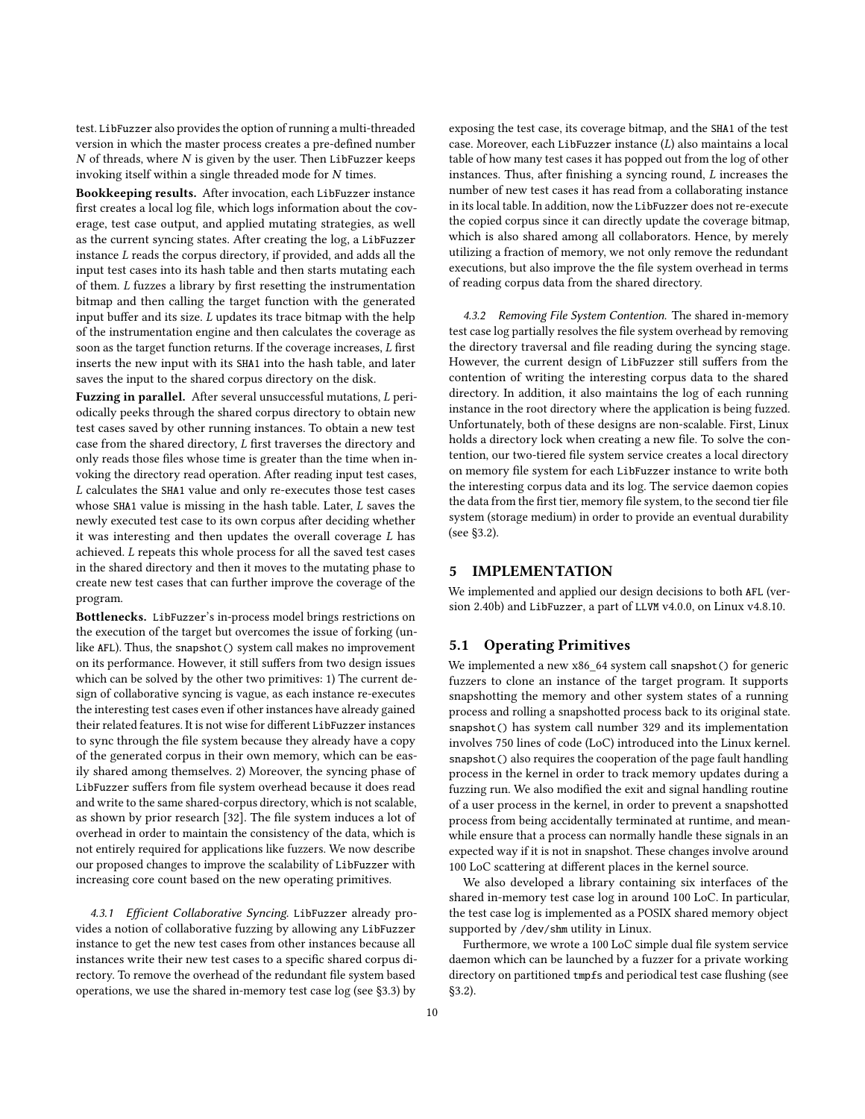test. LibFuzzer also provides the option of running a multi-threaded version in which the master process creates a pre-defined number  $N$  of threads, where  $N$  is given by the user. Then LibFuzzer keeps invoking itself within a single threaded mode for N times.

Bookkeeping results. After invocation, each LibFuzzer instance first creates a local log file, which logs information about the coverage, test case output, and applied mutating strategies, as well as the current syncing states. After creating the log, a LibFuzzer instance L reads the corpus directory, if provided, and adds all the input test cases into its hash table and then starts mutating each of them. L fuzzes a library by first resetting the instrumentation bitmap and then calling the target function with the generated input buffer and its size. L updates its trace bitmap with the help of the instrumentation engine and then calculates the coverage as soon as the target function returns. If the coverage increases, L first inserts the new input with its SHA1 into the hash table, and later saves the input to the shared corpus directory on the disk.

Fuzzing in parallel. After several unsuccessful mutations, L periodically peeks through the shared corpus directory to obtain new test cases saved by other running instances. To obtain a new test case from the shared directory, L first traverses the directory and only reads those files whose time is greater than the time when invoking the directory read operation. After reading input test cases, L calculates the SHA1 value and only re-executes those test cases whose SHA1 value is missing in the hash table. Later, L saves the newly executed test case to its own corpus after deciding whether it was interesting and then updates the overall coverage  $L$  has achieved. L repeats this whole process for all the saved test cases in the shared directory and then it moves to the mutating phase to create new test cases that can further improve the coverage of the program.

Bottlenecks. LibFuzzer's in-process model brings restrictions on the execution of the target but overcomes the issue of forking (unlike AFL). Thus, the snapshot() system call makes no improvement on its performance. However, it still suffers from two design issues which can be solved by the other two primitives: 1) The current design of collaborative syncing is vague, as each instance re-executes the interesting test cases even if other instances have already gained their related features. It is not wise for different LibFuzzer instances to sync through the file system because they already have a copy of the generated corpus in their own memory, which can be easily shared among themselves. 2) Moreover, the syncing phase of LibFuzzer suffers from file system overhead because it does read and write to the same shared-corpus directory, which is not scalable, as shown by prior research [\[32\]](#page-14-16). The file system induces a lot of overhead in order to maintain the consistency of the data, which is not entirely required for applications like fuzzers. We now describe our proposed changes to improve the scalability of LibFuzzer with increasing core count based on the new operating primitives.

4.3.1 Efficient Collaborative Syncing. LibFuzzer already provides a notion of collaborative fuzzing by allowing any LibFuzzer instance to get the new test cases from other instances because all instances write their new test cases to a specific shared corpus directory. To remove the overhead of the redundant file system based operations, we use the shared in-memory test case log (see [§3.3\)](#page-6-1) by

exposing the test case, its coverage bitmap, and the SHA1 of the test case. Moreover, each LibFuzzer instance (L) also maintains a local table of how many test cases it has popped out from the log of other instances. Thus, after finishing a syncing round, L increases the number of new test cases it has read from a collaborating instance in its local table. In addition, now the LibFuzzer does not re-execute the copied corpus since it can directly update the coverage bitmap, which is also shared among all collaborators. Hence, by merely utilizing a fraction of memory, we not only remove the redundant executions, but also improve the the file system overhead in terms of reading corpus data from the shared directory.

4.3.2 Removing File System Contention. The shared in-memory test case log partially resolves the file system overhead by removing the directory traversal and file reading during the syncing stage. However, the current design of LibFuzzer still suffers from the contention of writing the interesting corpus data to the shared directory. In addition, it also maintains the log of each running instance in the root directory where the application is being fuzzed. Unfortunately, both of these designs are non-scalable. First, Linux holds a directory lock when creating a new file. To solve the contention, our two-tiered file system service creates a local directory on memory file system for each LibFuzzer instance to write both the interesting corpus data and its log. The service daemon copies the data from the first tier, memory file system, to the second tier file system (storage medium) in order to provide an eventual durability (see [§3.2\)](#page-5-0).

# <span id="page-9-0"></span>5 IMPLEMENTATION

We implemented and applied our design decisions to both AFL (version 2.40b) and LibFuzzer, a part of LLVM v4.0.0, on Linux v4.8.10.

## 5.1 Operating Primitives

We implemented a new x86\_64 system call snapshot() for generic fuzzers to clone an instance of the target program. It supports snapshotting the memory and other system states of a running process and rolling a snapshotted process back to its original state. snapshot() has system call number 329 and its implementation involves 750 lines of code (LoC) introduced into the Linux kernel. snapshot() also requires the cooperation of the page fault handling process in the kernel in order to track memory updates during a fuzzing run. We also modified the exit and signal handling routine of a user process in the kernel, in order to prevent a snapshotted process from being accidentally terminated at runtime, and meanwhile ensure that a process can normally handle these signals in an expected way if it is not in snapshot. These changes involve around 100 LoC scattering at different places in the kernel source.

We also developed a library containing six interfaces of the shared in-memory test case log in around 100 LoC. In particular, the test case log is implemented as a POSIX shared memory object supported by /dev/shm utility in Linux.

Furthermore, we wrote a 100 LoC simple dual file system service daemon which can be launched by a fuzzer for a private working directory on partitioned tmpfs and periodical test case flushing (see [§3.2\)](#page-5-0).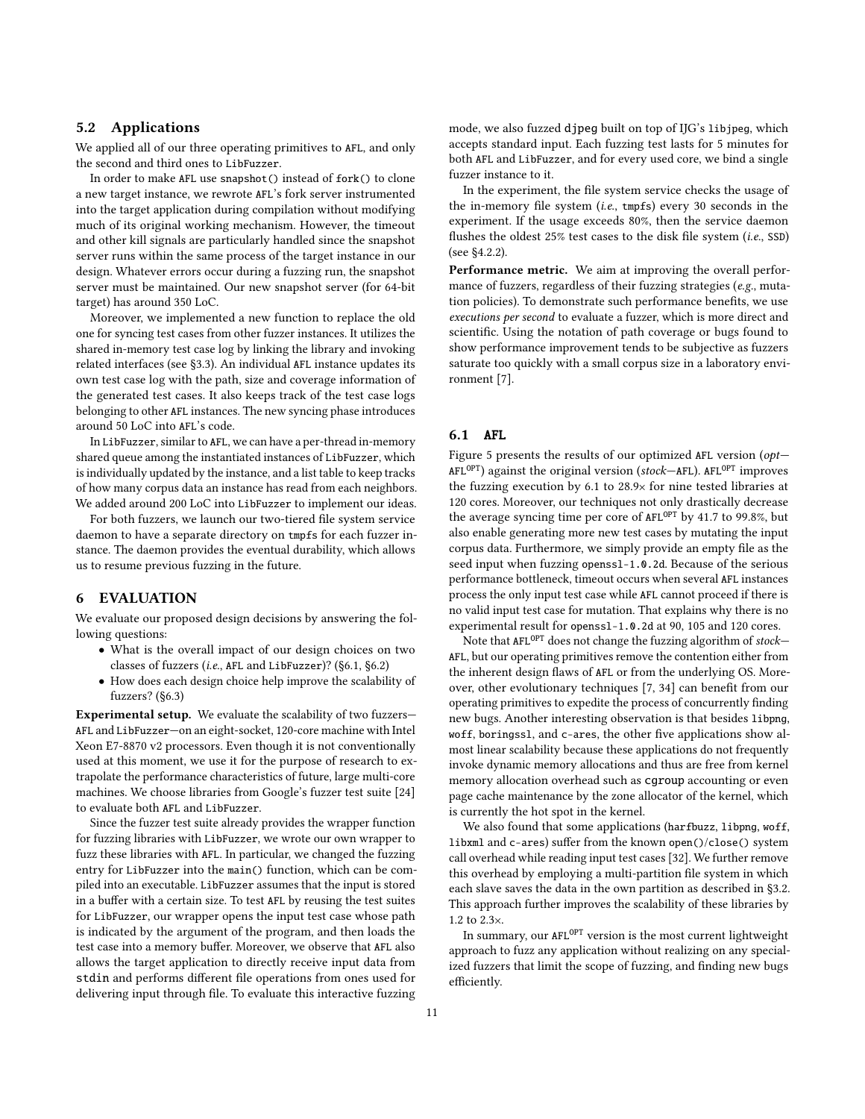# 5.2 Applications

We applied all of our three operating primitives to AFL, and only the second and third ones to LibFuzzer.

In order to make AFL use snapshot() instead of fork() to clone a new target instance, we rewrote AFL's fork server instrumented into the target application during compilation without modifying much of its original working mechanism. However, the timeout and other kill signals are particularly handled since the snapshot server runs within the same process of the target instance in our design. Whatever errors occur during a fuzzing run, the snapshot server must be maintained. Our new snapshot server (for 64-bit target) has around 350 LoC.

Moreover, we implemented a new function to replace the old one for syncing test cases from other fuzzer instances. It utilizes the shared in-memory test case log by linking the library and invoking related interfaces (see [§3.3\)](#page-6-1). An individual AFL instance updates its own test case log with the path, size and coverage information of the generated test cases. It also keeps track of the test case logs belonging to other AFL instances. The new syncing phase introduces around 50 LoC into AFL's code.

In LibFuzzer, similar to AFL, we can have a per-thread in-memory shared queue among the instantiated instances of LibFuzzer, which is individually updated by the instance, and a list table to keep tracks of how many corpus data an instance has read from each neighbors. We added around 200 LoC into LibFuzzer to implement our ideas.

For both fuzzers, we launch our two-tiered file system service daemon to have a separate directory on tmpfs for each fuzzer instance. The daemon provides the eventual durability, which allows us to resume previous fuzzing in the future.

#### <span id="page-10-0"></span>6 EVALUATION

We evaluate our proposed design decisions by answering the following questions:

- What is the overall impact of our design choices on two classes of fuzzers (i.e., AFL and LibFuzzer)? [\(§6.1,](#page-10-1) [§6.2\)](#page-11-0)
- How does each design choice help improve the scalability of fuzzers? [\(§6.3\)](#page-11-1)

Experimental setup. We evaluate the scalability of two fuzzers— AFL and LibFuzzer—on an eight-socket, 120-core machine with Intel Xeon E7-8870 v2 processors. Even though it is not conventionally used at this moment, we use it for the purpose of research to extrapolate the performance characteristics of future, large multi-core machines. We choose libraries from Google's fuzzer test suite [\[24\]](#page-14-19) to evaluate both AFL and LibFuzzer.

Since the fuzzer test suite already provides the wrapper function for fuzzing libraries with LibFuzzer, we wrote our own wrapper to fuzz these libraries with AFL. In particular, we changed the fuzzing entry for LibFuzzer into the main() function, which can be compiled into an executable. LibFuzzer assumes that the input is stored in a buffer with a certain size. To test AFL by reusing the test suites for LibFuzzer, our wrapper opens the input test case whose path is indicated by the argument of the program, and then loads the test case into a memory buffer. Moreover, we observe that AFL also allows the target application to directly receive input data from stdin and performs different file operations from ones used for delivering input through file. To evaluate this interactive fuzzing

mode, we also fuzzed djpeg built on top of IJG's libjpeg, which accepts standard input. Each fuzzing test lasts for 5 minutes for both AFL and LibFuzzer, and for every used core, we bind a single fuzzer instance to it.

In the experiment, the file system service checks the usage of the in-memory file system (i.e., tmpfs) every 30 seconds in the experiment. If the usage exceeds 80%, then the service daemon flushes the oldest 25% test cases to the disk file system (i.e., SSD) (see [§4.2.2\)](#page-8-3).

Performance metric. We aim at improving the overall performance of fuzzers, regardless of their fuzzing strategies (e.g., mutation policies). To demonstrate such performance benefits, we use executions per second to evaluate a fuzzer, which is more direct and scientific. Using the notation of path coverage or bugs found to show performance improvement tends to be subjective as fuzzers saturate too quickly with a small corpus size in a laboratory environment [\[7\]](#page-14-10).

## <span id="page-10-1"></span>6.1 AFL

[Figure 5](#page-11-2) presents the results of our optimized AFL version (*opt*—  $AFL^{OPT}$ ) against the original version (stock—AFL). AFL<sup>OPT</sup> improves the fuzzing execution by 6.1 to 28.9<sup>×</sup> for nine tested libraries at 120 cores. Moreover, our techniques not only drastically decrease the average syncing time per core of AFLOPT by 41.7 to 99.8%, but also enable generating more new test cases by mutating the input corpus data. Furthermore, we simply provide an empty file as the seed input when fuzzing openssl-1.0.2d. Because of the serious performance bottleneck, timeout occurs when several AFL instances process the only input test case while AFL cannot proceed if there is no valid input test case for mutation. That explains why there is no experimental result for openssl-1.0.2d at 90, 105 and 120 cores.

Note that  $AFL^{OPT}$  does not change the fuzzing algorithm of stock— AFL, but our operating primitives remove the contention either from the inherent design flaws of AFL or from the underlying OS. Moreover, other evolutionary techniques [\[7,](#page-14-10) [34\]](#page-15-1) can benefit from our operating primitives to expedite the process of concurrently finding new bugs. Another interesting observation is that besides libpng, woff, boringssl, and c-ares, the other five applications show almost linear scalability because these applications do not frequently invoke dynamic memory allocations and thus are free from kernel memory allocation overhead such as cgroup accounting or even page cache maintenance by the zone allocator of the kernel, which is currently the hot spot in the kernel.

We also found that some applications (harfbuzz, libpng, woff, libxml and c-ares) suffer from the known open()/close() system call overhead while reading input test cases [\[32\]](#page-14-16). We further remove this overhead by employing a multi-partition file system in which each slave saves the data in the own partition as described in [§3.2.](#page-5-0) This approach further improves the scalability of these libraries by 1.2 to 2.3×.

In summary, our  $AFL^{OPT}$  version is the most current lightweight approach to fuzz any application without realizing on any specialized fuzzers that limit the scope of fuzzing, and finding new bugs efficiently.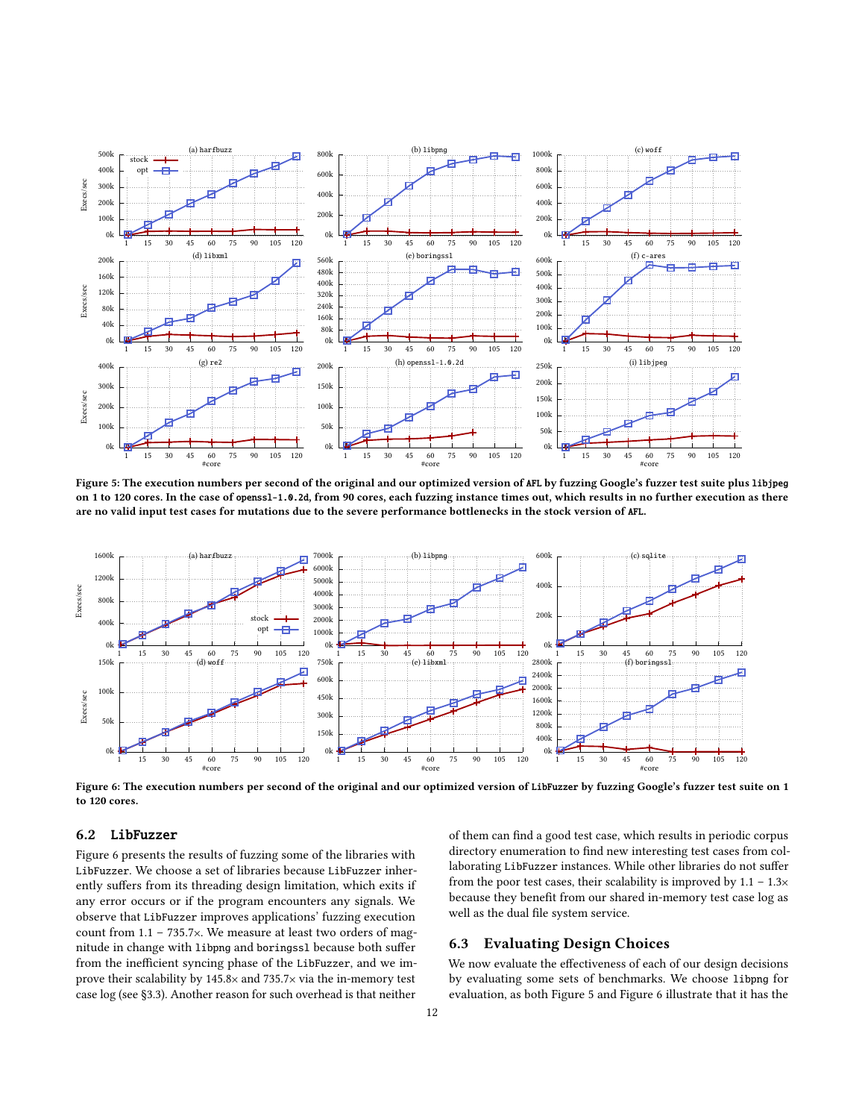<span id="page-11-2"></span>

Figure 5: The execution numbers per second of the original and our optimized version of AFL by fuzzing Google's fuzzer test suite plus libjpeg on 1 to 120 cores. In the case of openssl-1.0.2d, from 90 cores, each fuzzing instance times out, which results in no further execution as there are no valid input test cases for mutations due to the severe performance bottlenecks in the stock version of AFL.

<span id="page-11-3"></span>

Figure 6: The execution numbers per second of the original and our optimized version of LibFuzzer by fuzzing Google's fuzzer test suite on 1 to 120 cores.

#### <span id="page-11-0"></span>6.2 LibFuzzer

[Figure 6](#page-11-3) presents the results of fuzzing some of the libraries with LibFuzzer. We choose a set of libraries because LibFuzzer inherently suffers from its threading design limitation, which exits if any error occurs or if the program encounters any signals. We observe that LibFuzzer improves applications' fuzzing execution count from 1.1 – 735.7×. We measure at least two orders of magnitude in change with libpng and boringssl because both suffer from the inefficient syncing phase of the LibFuzzer, and we improve their scalability by 145.8× and 735.7× via the in-memory test case log (see [§3.3\)](#page-6-1). Another reason for such overhead is that neither

of them can find a good test case, which results in periodic corpus directory enumeration to find new interesting test cases from collaborating LibFuzzer instances. While other libraries do not suffer from the poor test cases, their scalability is improved by  $1.1 - 1.3 \times$ because they benefit from our shared in-memory test case log as well as the dual file system service.

## <span id="page-11-1"></span>6.3 Evaluating Design Choices

We now evaluate the effectiveness of each of our design decisions by evaluating some sets of benchmarks. We choose libpng for evaluation, as both [Figure 5](#page-11-2) and [Figure 6](#page-11-3) illustrate that it has the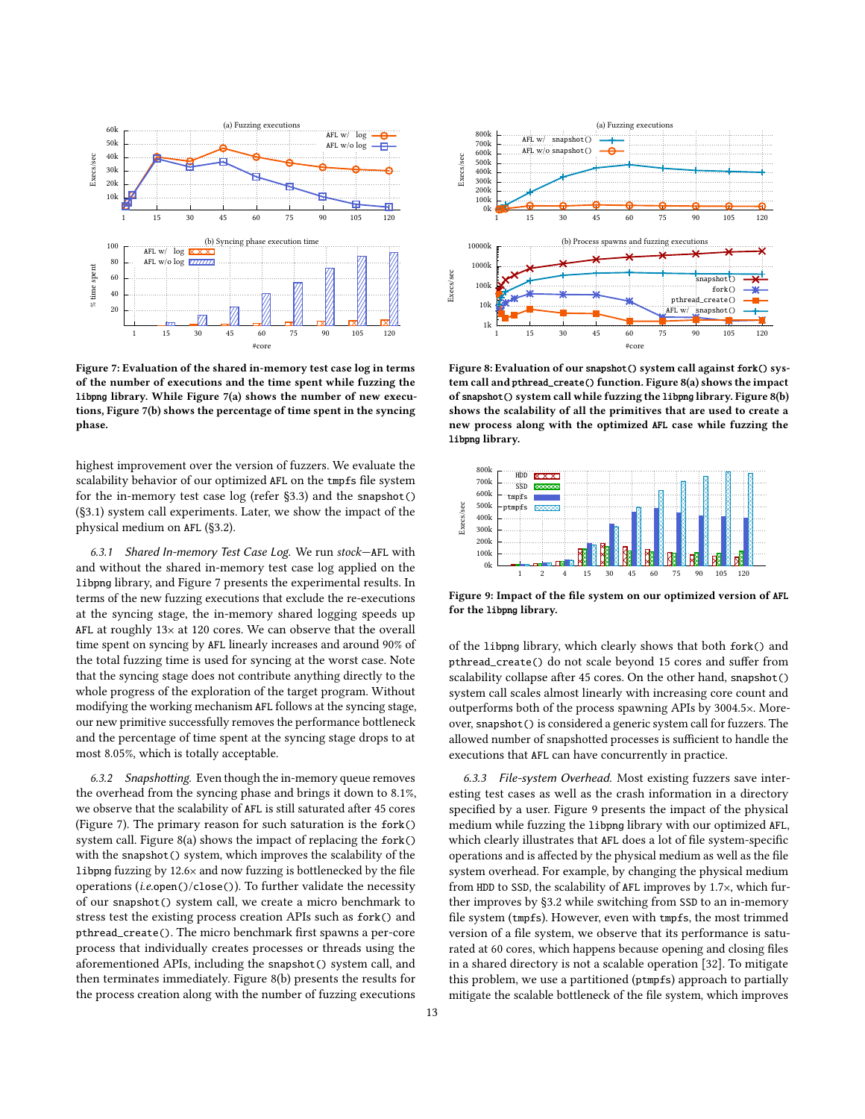<span id="page-12-1"></span>

Figure 7: Evaluation of the shared in-memory test case log in terms of the number of executions and the time spent while fuzzing the libpng library. While [Figure 7\(](#page-12-1)a) shows the number of new executions, [Figure 7\(](#page-12-1)b) shows the percentage of time spent in the syncing phase.

highest improvement over the version of fuzzers. We evaluate the scalability behavior of our optimized AFL on the tmpfs file system for the in-memory test case log (refer [§3.3\)](#page-6-1) and the snapshot() [\(§3.1\)](#page-4-1) system call experiments. Later, we show the impact of the physical medium on AFL [\(§3.2\)](#page-5-0).

6.3.1 Shared In-memory Test Case Log. We run stock—AFL with and without the shared in-memory test case log applied on the libpng library, and [Figure 7](#page-12-1) presents the experimental results. In terms of the new fuzzing executions that exclude the re-executions at the syncing stage, the in-memory shared logging speeds up AFL at roughly 13<sup>×</sup> at 120 cores. We can observe that the overall time spent on syncing by AFL linearly increases and around 90% of the total fuzzing time is used for syncing at the worst case. Note that the syncing stage does not contribute anything directly to the whole progress of the exploration of the target program. Without modifying the working mechanism AFL follows at the syncing stage, our new primitive successfully removes the performance bottleneck and the percentage of time spent at the syncing stage drops to at most 8.05%, which is totally acceptable.

6.3.2 Snapshotting. Even though the in-memory queue removes the overhead from the syncing phase and brings it down to 8.1%, we observe that the scalability of AFL is still saturated after 45 cores [\(Figure 7\)](#page-12-1). The primary reason for such saturation is the fork() system call. [Figure 8\(](#page-12-0)a) shows the impact of replacing the fork() with the snapshot() system, which improves the scalability of the libpng fuzzing by 12.6<sup>×</sup> and now fuzzing is bottlenecked by the file operations (i.e.open()/close()). To further validate the necessity of our snapshot() system call, we create a micro benchmark to stress test the existing process creation APIs such as fork() and pthread\_create(). The micro benchmark first spawns a per-core process that individually creates processes or threads using the aforementioned APIs, including the snapshot() system call, and then terminates immediately. [Figure 8\(](#page-12-0)b) presents the results for the process creation along with the number of fuzzing executions

<span id="page-12-0"></span>

Figure 8: Evaluation of our snapshot() system call against fork() system call and pthread\_create() function. [Figure 8\(](#page-12-0)a) shows the impact of snapshot() system call while fuzzing the libpng library. [Figure 8\(](#page-12-0)b) shows the scalability of all the primitives that are used to create a new process along with the optimized AFL case while fuzzing the libpng library.

<span id="page-12-2"></span>

Figure 9: Impact of the file system on our optimized version of AFL for the libpng library.

of the libpng library, which clearly shows that both fork() and pthread\_create() do not scale beyond 15 cores and suffer from scalability collapse after 45 cores. On the other hand, snapshot() system call scales almost linearly with increasing core count and outperforms both of the process spawning APIs by 3004.5×. Moreover, snapshot() is considered a generic system call for fuzzers. The allowed number of snapshotted processes is sufficient to handle the executions that AFL can have concurrently in practice.

6.3.3 File-system Overhead. Most existing fuzzers save interesting test cases as well as the crash information in a directory specified by a user. [Figure 9](#page-12-2) presents the impact of the physical medium while fuzzing the libpng library with our optimized AFL, which clearly illustrates that AFL does a lot of file system-specific operations and is affected by the physical medium as well as the file system overhead. For example, by changing the physical medium from HDD to SSD, the scalability of AFL improves by 1.7×, which further improves by [§3.2](#page-5-0) while switching from SSD to an in-memory file system (tmpfs). However, even with tmpfs, the most trimmed version of a file system, we observe that its performance is saturated at 60 cores, which happens because opening and closing files in a shared directory is not a scalable operation [\[32\]](#page-14-16). To mitigate this problem, we use a partitioned (ptmpfs) approach to partially mitigate the scalable bottleneck of the file system, which improves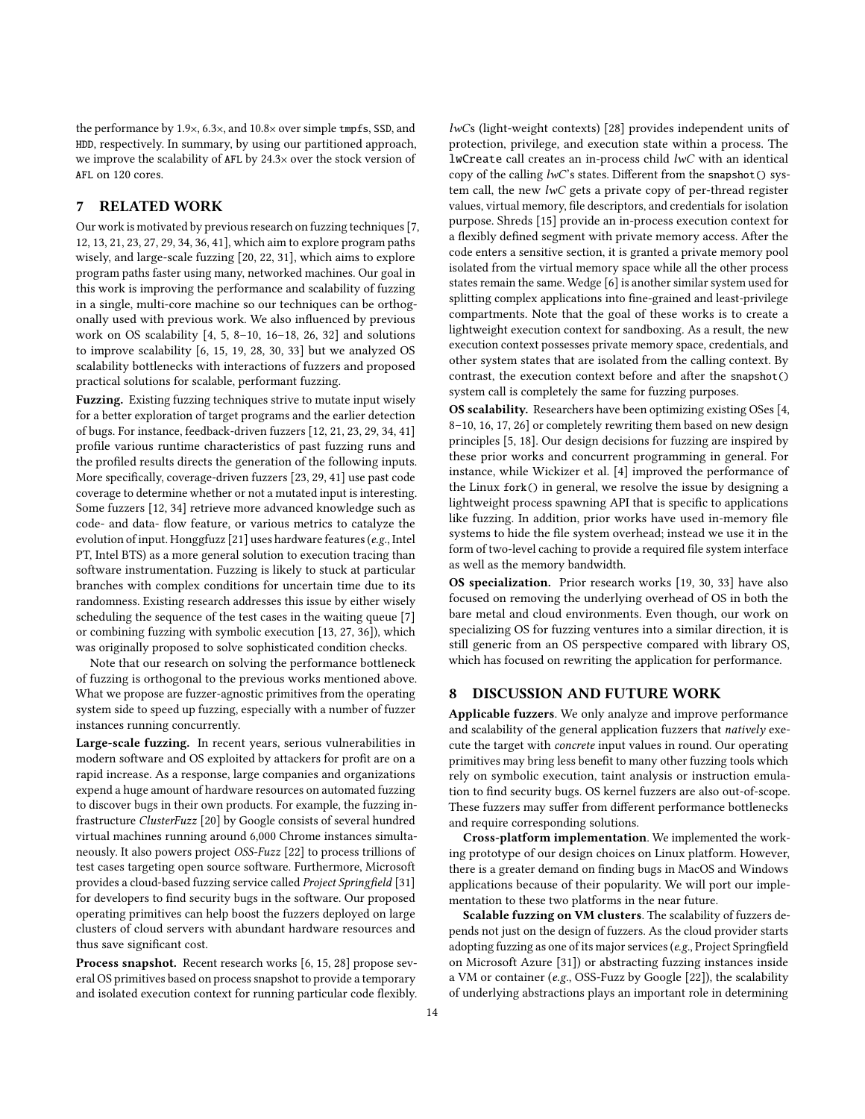the performance by 1.9×, 6.3×, and 10.8<sup>×</sup> over simple tmpfs, SSD, and HDD, respectively. In summary, by using our partitioned approach, we improve the scalability of AFL by 24.3<sup>×</sup> over the stock version of AFL on 120 cores.

# <span id="page-13-0"></span>7 RELATED WORK

Our work is motivated by previous research on fuzzing techniques [\[7,](#page-14-10) [12,](#page-14-9) [13,](#page-14-11) [21,](#page-14-7) [23,](#page-14-20) [27,](#page-14-12) [29,](#page-14-8) [34,](#page-15-1) [36,](#page-15-2) [41\]](#page-15-0), which aim to explore program paths wisely, and large-scale fuzzing [\[20,](#page-14-1) [22,](#page-14-2) [31\]](#page-14-4), which aims to explore program paths faster using many, networked machines. Our goal in this work is improving the performance and scalability of fuzzing in a single, multi-core machine so our techniques can be orthogonally used with previous work. We also influenced by previous work on OS scalability [\[4,](#page-14-21) [5,](#page-14-22) [8–](#page-14-13)[10,](#page-14-23) [16–](#page-14-24)[18,](#page-14-25) [26,](#page-14-26) [32\]](#page-14-16) and solutions to improve scalability [\[6,](#page-14-27) [15,](#page-14-28) [19,](#page-14-29) [28,](#page-14-30) [30,](#page-14-31) [33\]](#page-14-32) but we analyzed OS scalability bottlenecks with interactions of fuzzers and proposed practical solutions for scalable, performant fuzzing.

Fuzzing. Existing fuzzing techniques strive to mutate input wisely for a better exploration of target programs and the earlier detection of bugs. For instance, feedback-driven fuzzers [\[12,](#page-14-9) [21,](#page-14-7) [23,](#page-14-20) [29,](#page-14-8) [34,](#page-15-1) [41\]](#page-15-0) profile various runtime characteristics of past fuzzing runs and the profiled results directs the generation of the following inputs. More specifically, coverage-driven fuzzers [\[23,](#page-14-20) [29,](#page-14-8) [41\]](#page-15-0) use past code coverage to determine whether or not a mutated input is interesting. Some fuzzers [\[12,](#page-14-9) [34\]](#page-15-1) retrieve more advanced knowledge such as code- and data- flow feature, or various metrics to catalyze the evolution of input. Honggfuzz [\[21\]](#page-14-7) uses hardware features (e.g., Intel PT, Intel BTS) as a more general solution to execution tracing than software instrumentation. Fuzzing is likely to stuck at particular branches with complex conditions for uncertain time due to its randomness. Existing research addresses this issue by either wisely scheduling the sequence of the test cases in the waiting queue [\[7\]](#page-14-10) or combining fuzzing with symbolic execution [\[13,](#page-14-11) [27,](#page-14-12) [36\]](#page-15-2)), which was originally proposed to solve sophisticated condition checks.

Note that our research on solving the performance bottleneck of fuzzing is orthogonal to the previous works mentioned above. What we propose are fuzzer-agnostic primitives from the operating system side to speed up fuzzing, especially with a number of fuzzer instances running concurrently.

Large-scale fuzzing. In recent years, serious vulnerabilities in modern software and OS exploited by attackers for profit are on a rapid increase. As a response, large companies and organizations expend a huge amount of hardware resources on automated fuzzing to discover bugs in their own products. For example, the fuzzing infrastructure ClusterFuzz [\[20\]](#page-14-1) by Google consists of several hundred virtual machines running around 6,000 Chrome instances simultaneously. It also powers project OSS-Fuzz [\[22\]](#page-14-2) to process trillions of test cases targeting open source software. Furthermore, Microsoft provides a cloud-based fuzzing service called Project Springfield [\[31\]](#page-14-4) for developers to find security bugs in the software. Our proposed operating primitives can help boost the fuzzers deployed on large clusters of cloud servers with abundant hardware resources and thus save significant cost.

Process snapshot. Recent research works [\[6,](#page-14-27) [15,](#page-14-28) [28\]](#page-14-30) propose several OS primitives based on process snapshot to provide a temporary and isolated execution context for running particular code flexibly.

lwCs (light-weight contexts) [\[28\]](#page-14-30) provides independent units of protection, privilege, and execution state within a process. The lwCreate call creates an in-process child lwC with an identical copy of the calling  $lwC$ 's states. Different from the snapshot() system call, the new lwC gets a private copy of per-thread register values, virtual memory, file descriptors, and credentials for isolation purpose. Shreds [\[15\]](#page-14-28) provide an in-process execution context for a flexibly defined segment with private memory access. After the code enters a sensitive section, it is granted a private memory pool isolated from the virtual memory space while all the other process states remain the same. Wedge [\[6\]](#page-14-27) is another similar system used for splitting complex applications into fine-grained and least-privilege compartments. Note that the goal of these works is to create a lightweight execution context for sandboxing. As a result, the new execution context possesses private memory space, credentials, and other system states that are isolated from the calling context. By contrast, the execution context before and after the snapshot() system call is completely the same for fuzzing purposes.

OS scalability. Researchers have been optimizing existing OSes [\[4,](#page-14-21) [8](#page-14-13)[–10,](#page-14-23) [16,](#page-14-24) [17,](#page-14-33) [26\]](#page-14-26) or completely rewriting them based on new design principles [\[5,](#page-14-22) [18\]](#page-14-25). Our design decisions for fuzzing are inspired by these prior works and concurrent programming in general. For instance, while Wickizer et al. [\[4\]](#page-14-21) improved the performance of the Linux fork() in general, we resolve the issue by designing a lightweight process spawning API that is specific to applications like fuzzing. In addition, prior works have used in-memory file systems to hide the file system overhead; instead we use it in the form of two-level caching to provide a required file system interface as well as the memory bandwidth.

OS specialization. Prior research works [\[19,](#page-14-29) [30,](#page-14-31) [33\]](#page-14-32) have also focused on removing the underlying overhead of OS in both the bare metal and cloud environments. Even though, our work on specializing OS for fuzzing ventures into a similar direction, it is still generic from an OS perspective compared with library OS, which has focused on rewriting the application for performance.

#### 8 DISCUSSION AND FUTURE WORK

Applicable fuzzers. We only analyze and improve performance and scalability of the general application fuzzers that natively execute the target with concrete input values in round. Our operating primitives may bring less benefit to many other fuzzing tools which rely on symbolic execution, taint analysis or instruction emulation to find security bugs. OS kernel fuzzers are also out-of-scope. These fuzzers may suffer from different performance bottlenecks and require corresponding solutions.

Cross-platform implementation. We implemented the working prototype of our design choices on Linux platform. However, there is a greater demand on finding bugs in MacOS and Windows applications because of their popularity. We will port our implementation to these two platforms in the near future.

Scalable fuzzing on VM clusters. The scalability of fuzzers depends not just on the design of fuzzers. As the cloud provider starts adopting fuzzing as one of its major services (e.g., Project Springfield on Microsoft Azure [\[31\]](#page-14-4)) or abstracting fuzzing instances inside a VM or container (e.g., OSS-Fuzz by Google [\[22\]](#page-14-2)), the scalability of underlying abstractions plays an important role in determining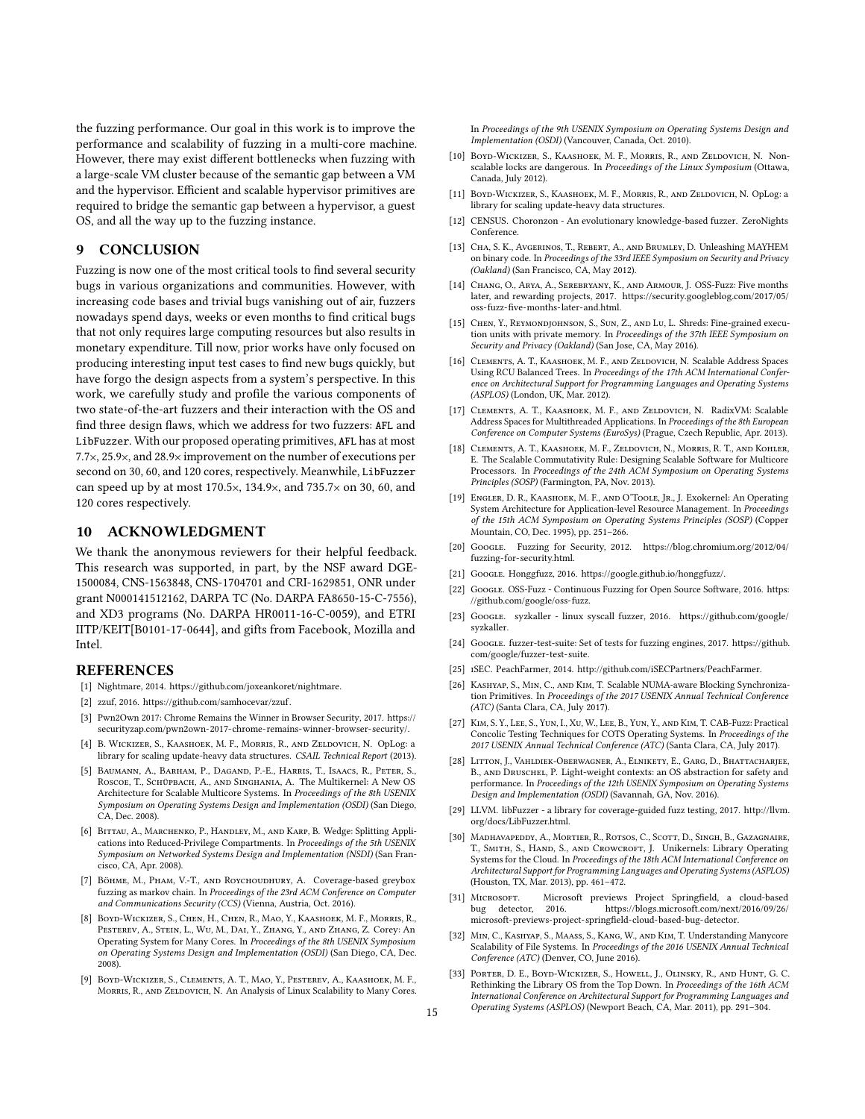the fuzzing performance. Our goal in this work is to improve the performance and scalability of fuzzing in a multi-core machine. However, there may exist different bottlenecks when fuzzing with a large-scale VM cluster because of the semantic gap between a VM and the hypervisor. Efficient and scalable hypervisor primitives are required to bridge the semantic gap between a hypervisor, a guest OS, and all the way up to the fuzzing instance.

# <span id="page-14-17"></span>9 CONCLUSION

Fuzzing is now one of the most critical tools to find several security bugs in various organizations and communities. However, with increasing code bases and trivial bugs vanishing out of air, fuzzers nowadays spend days, weeks or even months to find critical bugs that not only requires large computing resources but also results in monetary expenditure. Till now, prior works have only focused on producing interesting input test cases to find new bugs quickly, but have forgo the design aspects from a system's perspective. In this work, we carefully study and profile the various components of two state-of-the-art fuzzers and their interaction with the OS and find three design flaws, which we address for two fuzzers: AFL and LibFuzzer. With our proposed operating primitives, AFL has at most 7.7×, 25.9×, and 28.9× improvement on the number of executions per second on 30, 60, and 120 cores, respectively. Meanwhile, LibFuzzer can speed up by at most 170.5×, 134.9×, and 735.7× on 30, 60, and 120 cores respectively.

## 10 ACKNOWLEDGMENT

We thank the anonymous reviewers for their helpful feedback. This research was supported, in part, by the NSF award DGE-1500084, CNS-1563848, CNS-1704701 and CRI-1629851, ONR under grant N000141512162, DARPA TC (No. DARPA FA8650-15-C-7556), and XD3 programs (No. DARPA HR0011-16-C-0059), and ETRI IITP/KEIT[B0101-17-0644], and gifts from Facebook, Mozilla and Intel.

#### REFERENCES

- <span id="page-14-5"></span>[1] Nightmare, 2014. [https://github.com/joxeankoret/nightmare.](https://github.com/joxeankoret/nightmare)
- <span id="page-14-18"></span>[2] zzuf, 2016. [https://github.com/samhocevar/zzuf.](https://github.com/samhocevar/zzuf)
- <span id="page-14-0"></span>[3] Pwn2Own 2017: Chrome Remains the Winner in Browser Security, 2017. [https://](https://securityzap.com/pwn2own-2017-chrome-remains-winner-browser-security/) [securityzap.com/pwn2own-2017-chrome-remains-winner-browser-security/.](https://securityzap.com/pwn2own-2017-chrome-remains-winner-browser-security/)
- <span id="page-14-21"></span>[4] B. Wickizer, S., Kaashoek, M. F., Morris, R., and Zeldovich, N. OpLog: a library for scaling update-heavy data structures. CSAIL Technical Report (2013).
- <span id="page-14-22"></span>[5] Baumann, A., Barham, P., Dagand, P.-E., Harris, T., Isaacs, R., Peter, S., Roscoe, T., Schüpbach, A., and Singhania, A. The Multikernel: A New OS Architecture for Scalable Multicore Systems. In Proceedings of the 8th USENIX Symposium on Operating Systems Design and Implementation (OSDI) (San Diego, CA, Dec. 2008).
- <span id="page-14-27"></span>[6] BITTAU, A., MARCHENKO, P., HANDLEY, M., AND KARP, B. Wedge: Splitting Applications into Reduced-Privilege Compartments. In Proceedings of the 5th USENIX Symposium on Networked Systems Design and Implementation (NSDI) (San Francisco, CA, Apr. 2008).
- <span id="page-14-10"></span>[7] Böhme, M., Pham, V.-T., and Roychoudhury, A. Coverage-based greybox fuzzing as markov chain. In Proceedings of the 23rd ACM Conference on Computer and Communications Security (CCS) (Vienna, Austria, Oct. 2016).
- <span id="page-14-13"></span>[8] Boyd-Wickizer, S., Chen, H., Chen, R., Mao, Y., Kaashoek, M. F., Morris, R., Pesterev, A., Stein, L., Wu, M., Dai, Y., Zhang, Y., and Zhang, Z. Corey: An Operating System for Many Cores. In Proceedings of the 8th USENIX Symposium on Operating Systems Design and Implementation (OSDI) (San Diego, CA, Dec. 2008).
- <span id="page-14-14"></span>[9] Boyd-Wickizer, S., Clements, A. T., Mao, Y., Pesterev, A., Kaashoek, M. F., MORRIS, R., AND ZELDOVICH, N. An Analysis of Linux Scalability to Many Cores.

In Proceedings of the 9th USENIX Symposium on Operating Systems Design and Implementation (OSDI) (Vancouver, Canada, Oct. 2010).

- <span id="page-14-23"></span>[10] BOYD-WICKIZER, S., KAASHOEK, M. F., MORRIS, R., AND ZELDOVICH, N. Nonscalable locks are dangerous. In Proceedings of the Linux Symposium (Ottawa, Canada, July 2012).
- <span id="page-14-15"></span>[11] BOYD-WICKIZER, S., KAASHOEK, M. F., MORRIS, R., AND ZELDOVICH, N. OpLog: a library for scaling update-heavy data structures.
- <span id="page-14-9"></span>[12] CENSUS. Choronzon - An evolutionary knowledge-based fuzzer. ZeroNights Conference.
- <span id="page-14-11"></span>[13] CHA, S. K., AVGERINOS, T., REBERT, A., AND BRUMLEY, D. Unleashing MAYHEM on binary code. In Proceedings of the 33rd IEEE Symposium on Security and Privacy (Oakland) (San Francisco, CA, May 2012).
- <span id="page-14-3"></span>[14] CHANG, O., ARYA, A., SEREBRYANY, K., AND ARMOUR, J. OSS-Fuzz: Five months later, and rewarding projects, 2017. [https://security.googleblog.com/2017/05/](https://security.googleblog.com/2017/05/oss-fuzz-five-months-later-and.html) [oss-fuzz-five-months-later-and.html.](https://security.googleblog.com/2017/05/oss-fuzz-five-months-later-and.html)
- <span id="page-14-28"></span>[15] CHEN, Y., REYMONDJOHNSON, S., SUN, Z., AND LU, L. Shreds: Fine-grained execution units with private memory. In Proceedings of the 37th IEEE Symposium on Security and Privacy (Oakland) (San Jose, CA, May 2016).
- <span id="page-14-24"></span>[16] CLEMENTS, A. T., KAASHOEK, M. F., AND ZELDOVICH, N. Scalable Address Spaces Using RCU Balanced Trees. In Proceedings of the 17th ACM International Conference on Architectural Support for Programming Languages and Operating Systems (ASPLOS) (London, UK, Mar. 2012).
- <span id="page-14-33"></span>[17] CLEMENTS, A. T., KAASHOEK, M. F., AND ZELDOVICH, N. RadixVM: Scalable Address Spaces for Multithreaded Applications. In Proceedings of the 8th European Conference on Computer Systems (EuroSys) (Prague, Czech Republic, Apr. 2013).
- <span id="page-14-25"></span>[18] CLEMENTS, A. T., KAASHOEK, M. F., ZELDOVICH, N., MORRIS, R. T., AND KOHLER, E. The Scalable Commutativity Rule: Designing Scalable Software for Multicore Processors. In Proceedings of the 24th ACM Symposium on Operating Systems Principles (SOSP) (Farmington, PA, Nov. 2013).
- <span id="page-14-29"></span>[19] Engler, D. R., Kaashoek, M. F., and O'Toole, Jr., J. Exokernel: An Operating System Architecture for Application-level Resource Management. In Proceedings of the 15th ACM Symposium on Operating Systems Principles (SOSP) (Copper Mountain, CO, Dec. 1995), pp. 251–266.
- <span id="page-14-1"></span>[20] Google. Fuzzing for Security, 2012. [https://blog.chromium.org/2012/04/](https://blog.chromium.org/2012/04/fuzzing-for-security.html) [fuzzing-for-security.html.](https://blog.chromium.org/2012/04/fuzzing-for-security.html)
- <span id="page-14-7"></span>[21] Google. Honggfuzz, 2016. [https://google.github.io/honggfuzz/.](https://google.github.io/honggfuzz/)
- <span id="page-14-2"></span>[22] Google. OSS-Fuzz - Continuous Fuzzing for Open Source Software, 2016. [https:](https://github.com/google/oss-fuzz) [//github.com/google/oss-fuzz.](https://github.com/google/oss-fuzz)
- <span id="page-14-20"></span>[23] GoogLE. syzkaller - linux syscall fuzzer, 2016. [https://github.com/google/](https://github.com/google/syzkaller) [syzkaller.](https://github.com/google/syzkaller)
- <span id="page-14-19"></span>[24] Google. fuzzer-test-suite: Set of tests for fuzzing engines, 2017. [https://github.](https://github.com/google/fuzzer-test-suite) [com/google/fuzzer-test-suite.](https://github.com/google/fuzzer-test-suite)
- <span id="page-14-6"></span>[25] iSEC. PeachFarmer, 2014. [http://github.com/iSECPartners/PeachFarmer.](http://github.com/iSECPartners/PeachFarmer)
- <span id="page-14-26"></span>[26] Kashyap, S., Min, C., and Kim, T. Scalable NUMA-aware Blocking Synchronization Primitives. In Proceedings of the 2017 USENIX Annual Technical Conference (ATC) (Santa Clara, CA, July 2017).
- <span id="page-14-12"></span>[27] Kim, S. Y., Lee, S., Yun, I., Xu, W., Lee, B., Yun, Y., and Kim, T. CAB-Fuzz: Practical Concolic Testing Techniques for COTS Operating Systems. In Proceedings of the 2017 USENIX Annual Technical Conference (ATC) (Santa Clara, CA, July 2017).
- <span id="page-14-30"></span>[28] LITTON, J., VAHLDIEK-OBERWAGNER, A., ELNIKETY, E., GARG, D., BHATTACHARJEE, B., and Druschel, P. Light-weight contexts: an OS abstraction for safety and performance. In Proceedings of the 12th USENIX Symposium on Operating Systems Design and Implementation (OSDI) (Savannah, GA, Nov. 2016).
- <span id="page-14-8"></span>[29] LLVM. libFuzzer - a library for coverage-guided fuzz testing, 2017. [http://llvm.](http://llvm.org/docs/LibFuzzer.html) [org/docs/LibFuzzer.html.](http://llvm.org/docs/LibFuzzer.html)
- <span id="page-14-31"></span>[30] Madhavapeddy, A., Mortier, R., Rotsos, C., Scott, D., Singh, B., Gazagnaire, T., SMITH, S., HAND, S., AND CROWCROFT, J. Unikernels: Library Operating Systems for the Cloud. In Proceedings of the 18th ACM International Conference on Architectural Support for Programming Languages and Operating Systems (ASPLOS) (Houston, TX, Mar. 2013), pp. 461–472.
- <span id="page-14-4"></span>[31] Microsoft. Microsoft previews Project Springfield, a cloud-based bug detector, 2016. [https://blogs.microsoft.com/next/2016/09/26/](https://blogs.microsoft.com/next/2016/09/26/microsoft-previews-project-springfield-cloud-based-bug-detector) [microsoft-previews-project-springfield-cloud-based-bug-detector.](https://blogs.microsoft.com/next/2016/09/26/microsoft-previews-project-springfield-cloud-based-bug-detector)
- <span id="page-14-16"></span>[32] Min, C., Kashyap, S., Maass, S., Kang, W., and Kim, T. Understanding Manycore Scalability of File Systems. In Proceedings of the 2016 USENIX Annual Technical Conference (ATC) (Denver, CO, June 2016).
- <span id="page-14-32"></span>[33] Porter, D. E., Boyd-Wickizer, S., Howell, J., Olinsky, R., and Hunt, G. C. Rethinking the Library OS from the Top Down. In Proceedings of the 16th ACM International Conference on Architectural Support for Programming Languages and Operating Systems (ASPLOS) (Newport Beach, CA, Mar. 2011), pp. 291–304. 15